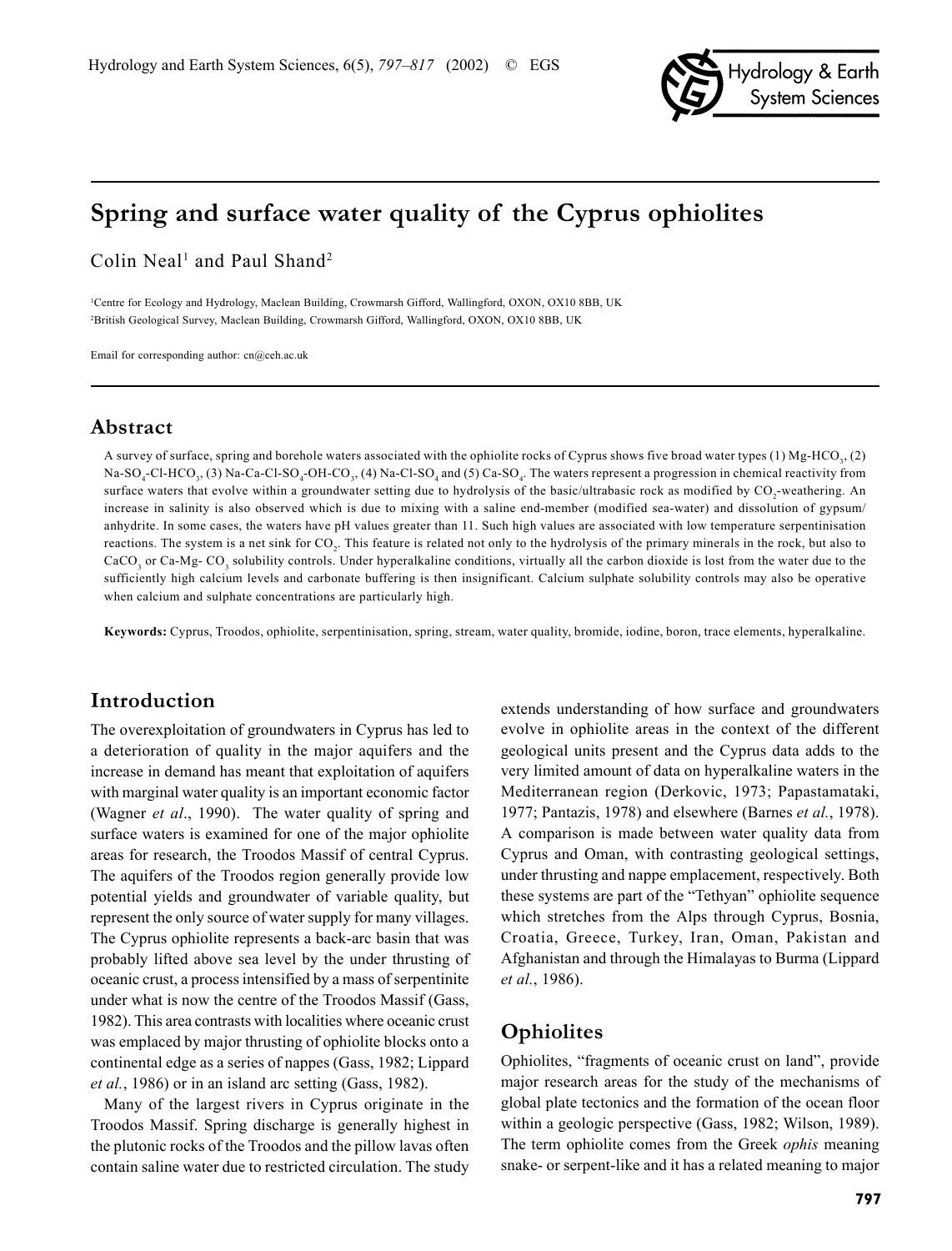

# **Spring and surface water quality of the Cyprus ophiolites**

Colin Neal<sup>1</sup> and Paul Shand<sup>2</sup>

1 Centre for Ecology and Hydrology, Maclean Building, Crowmarsh Gifford, Wallingford, OXON, OX10 8BB, UK 2 British Geological Survey, Maclean Building, Crowmarsh Gifford, Wallingford, OXON, OX10 8BB, UK

Email for corresponding author: cn@ceh.ac.uk

## **Abstract**

A survey of surface, spring and borehole waters associated with the ophiolite rocks of Cyprus shows five broad water types (1) Mg-HCO<sub>3</sub>, (2) Na-SO<sub>4</sub>-Cl-HCO<sub>3</sub>, (3) Na-Ca-Cl-SO<sub>4</sub>-OH-CO<sub>3</sub>, (4) Na-Cl-SO<sub>4</sub> and (5) Ca-SO<sub>4</sub>. The waters represent a progression in chemical reactivity from surface waters that evolve within a groundwater setting due to hydrolysis of the basic/ultrabasic rock as modified by  $CO_2$ -weathering. An increase in salinity is also observed which is due to mixing with a saline end-member (modified sea-water) and dissolution of gypsum/ anhydrite. In some cases, the waters have pH values greater than 11. Such high values are associated with low temperature serpentinisation reactions. The system is a net sink for  $CO_2$ . This feature is related not only to the hydrolysis of the primary minerals in the rock, but also to CaCO<sub>3</sub> or Ca-Mg- CO<sub>3</sub> solubility controls. Under hyperalkaline conditions, virtually all the carbon dioxide is lost from the water due to the sufficiently high calcium levels and carbonate buffering is then insignificant. Calcium sulphate solubility controls may also be operative when calcium and sulphate concentrations are particularly high.

**Keywords:** Cyprus, Troodos, ophiolite, serpentinisation, spring, stream, water quality, bromide, iodine, boron, trace elements, hyperalkaline.

## **Introduction**

The overexploitation of groundwaters in Cyprus has led to a deterioration of quality in the major aquifers and the increase in demand has meant that exploitation of aquifers with marginal water quality is an important economic factor (Wagner *et al*., 1990). The water quality of spring and surface waters is examined for one of the major ophiolite areas for research, the Troodos Massif of central Cyprus. The aquifers of the Troodos region generally provide low potential yields and groundwater of variable quality, but represent the only source of water supply for many villages. The Cyprus ophiolite represents a back-arc basin that was probably lifted above sea level by the under thrusting of oceanic crust, a process intensified by a mass of serpentinite under what is now the centre of the Troodos Massif (Gass, 1982). This area contrasts with localities where oceanic crust was emplaced by major thrusting of ophiolite blocks onto a continental edge as a series of nappes (Gass, 1982; Lippard *et al.*, 1986) or in an island arc setting (Gass, 1982).

Many of the largest rivers in Cyprus originate in the Troodos Massif. Spring discharge is generally highest in the plutonic rocks of the Troodos and the pillow lavas often contain saline water due to restricted circulation. The study

extends understanding of how surface and groundwaters evolve in ophiolite areas in the context of the different geological units present and the Cyprus data adds to the very limited amount of data on hyperalkaline waters in the Mediterranean region (Derkovic, 1973; Papastamataki, 1977; Pantazis, 1978) and elsewhere (Barnes *et al.*, 1978). A comparison is made between water quality data from Cyprus and Oman, with contrasting geological settings, under thrusting and nappe emplacement, respectively. Both these systems are part of the "Tethyan" ophiolite sequence which stretches from the Alps through Cyprus, Bosnia, Croatia, Greece, Turkey, Iran, Oman, Pakistan and Afghanistan and through the Himalayas to Burma (Lippard *et al.*, 1986).

## **Ophiolites**

Ophiolites, "fragments of oceanic crust on land", provide major research areas for the study of the mechanisms of global plate tectonics and the formation of the ocean floor within a geologic perspective (Gass, 1982; Wilson, 1989). The term ophiolite comes from the Greek *ophis* meaning snake- or serpent-like and it has a related meaning to major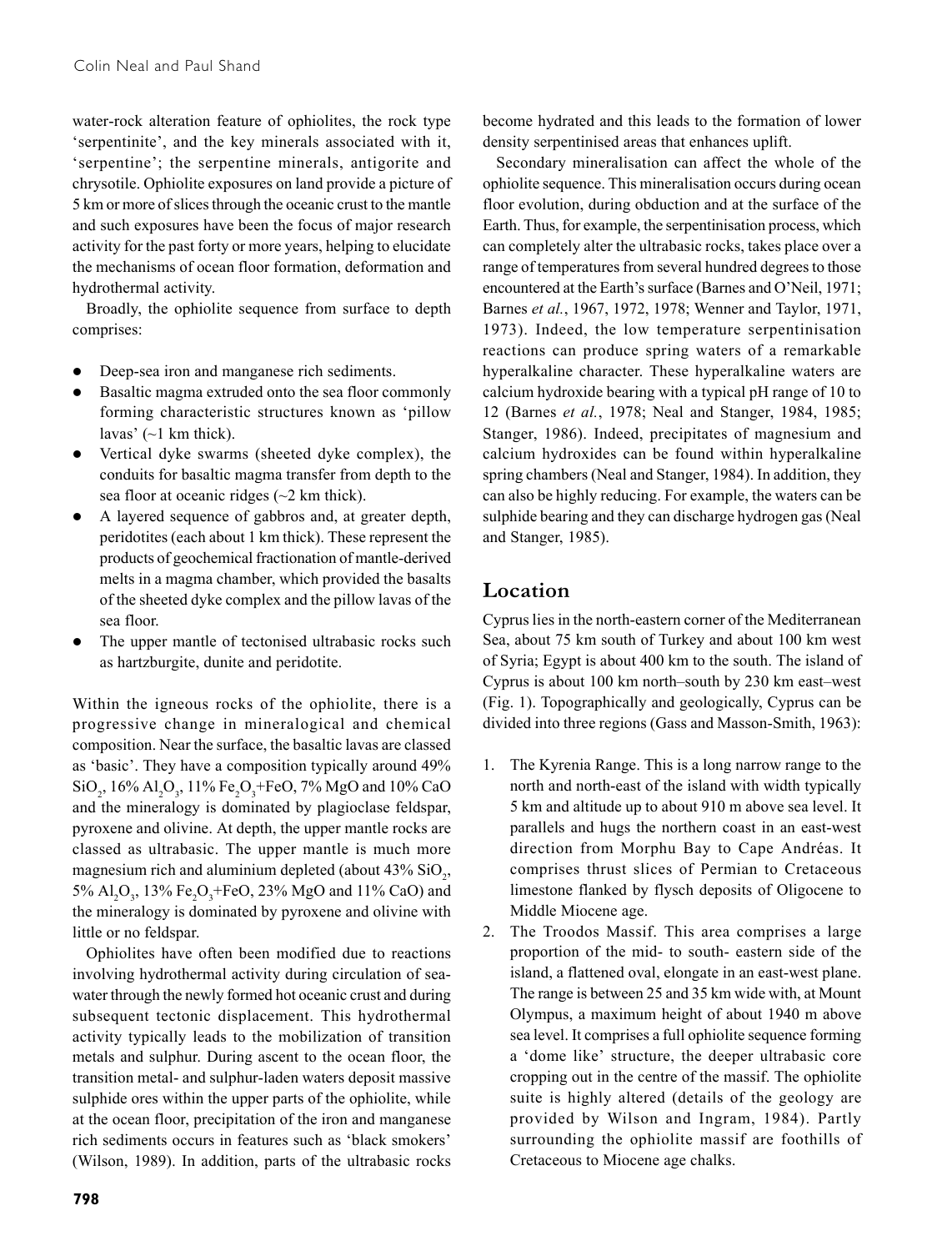water-rock alteration feature of ophiolites, the rock type 'serpentinite', and the key minerals associated with it, 'serpentine'; the serpentine minerals, antigorite and chrysotile. Ophiolite exposures on land provide a picture of 5 km or more of slices through the oceanic crust to the mantle and such exposures have been the focus of major research activity for the past forty or more years, helping to elucidate the mechanisms of ocean floor formation, deformation and hydrothermal activity.

Broadly, the ophiolite sequence from surface to depth comprises:

- Deep-sea iron and manganese rich sediments.
- Basaltic magma extruded onto the sea floor commonly forming characteristic structures known as 'pillow lavas'  $(\sim 1 \text{ km thick})$ .
- Vertical dyke swarms (sheeted dyke complex), the conduits for basaltic magma transfer from depth to the sea floor at oceanic ridges  $(\sim 2 \text{ km thick})$ .
- A layered sequence of gabbros and, at greater depth, peridotites (each about 1 km thick). These represent the products of geochemical fractionation of mantle-derived melts in a magma chamber, which provided the basalts of the sheeted dyke complex and the pillow lavas of the sea floor.
- The upper mantle of tectonised ultrabasic rocks such as hartzburgite, dunite and peridotite.

Within the igneous rocks of the ophiolite, there is a progressive change in mineralogical and chemical composition. Near the surface, the basaltic lavas are classed as 'basic'. They have a composition typically around 49%  $\rm SiO_{2}$ , 16%  $\rm Al_{2}O_{3}$ , 11%  $\rm Fe_{2}O_{3}$ +FeO, 7% MgO and 10% CaO and the mineralogy is dominated by plagioclase feldspar, pyroxene and olivine. At depth, the upper mantle rocks are classed as ultrabasic. The upper mantle is much more magnesium rich and aluminium depleted (about  $43\%$  SiO<sub>2</sub>, 5%  $\text{Al}_2\text{O}_3$ , 13% Fe<sub>2</sub>O<sub>3</sub>+FeO, 23% MgO and 11% CaO) and the mineralogy is dominated by pyroxene and olivine with little or no feldspar.

Ophiolites have often been modified due to reactions involving hydrothermal activity during circulation of seawater through the newly formed hot oceanic crust and during subsequent tectonic displacement. This hydrothermal activity typically leads to the mobilization of transition metals and sulphur. During ascent to the ocean floor, the transition metal- and sulphur-laden waters deposit massive sulphide ores within the upper parts of the ophiolite, while at the ocean floor, precipitation of the iron and manganese rich sediments occurs in features such as 'black smokers' (Wilson, 1989). In addition, parts of the ultrabasic rocks become hydrated and this leads to the formation of lower density serpentinised areas that enhances uplift.

Secondary mineralisation can affect the whole of the ophiolite sequence. This mineralisation occurs during ocean floor evolution, during obduction and at the surface of the Earth. Thus, for example, the serpentinisation process, which can completely alter the ultrabasic rocks, takes place over a range of temperatures from several hundred degrees to those encountered at the Earth's surface (Barnes and O'Neil, 1971; Barnes *et al.*, 1967, 1972, 1978; Wenner and Taylor, 1971, 1973). Indeed, the low temperature serpentinisation reactions can produce spring waters of a remarkable hyperalkaline character. These hyperalkaline waters are calcium hydroxide bearing with a typical pH range of 10 to 12 (Barnes *et al.*, 1978; Neal and Stanger, 1984, 1985; Stanger, 1986). Indeed, precipitates of magnesium and calcium hydroxides can be found within hyperalkaline spring chambers (Neal and Stanger, 1984). In addition, they can also be highly reducing. For example, the waters can be sulphide bearing and they can discharge hydrogen gas (Neal and Stanger, 1985).

## **Location**

Cyprus lies in the north-eastern corner of the Mediterranean Sea, about 75 km south of Turkey and about 100 km west of Syria; Egypt is about 400 km to the south. The island of Cyprus is about 100 km north–south by 230 km east–west (Fig. 1). Topographically and geologically, Cyprus can be divided into three regions (Gass and Masson-Smith, 1963):

- 1. The Kyrenia Range. This is a long narrow range to the north and north-east of the island with width typically 5 km and altitude up to about 910 m above sea level. It parallels and hugs the northern coast in an east-west direction from Morphu Bay to Cape Andréas. It comprises thrust slices of Permian to Cretaceous limestone flanked by flysch deposits of Oligocene to Middle Miocene age.
- 2. The Troodos Massif. This area comprises a large proportion of the mid- to south- eastern side of the island, a flattened oval, elongate in an east-west plane. The range is between 25 and 35 km wide with, at Mount Olympus, a maximum height of about 1940 m above sea level. It comprises a full ophiolite sequence forming a 'dome like' structure, the deeper ultrabasic core cropping out in the centre of the massif. The ophiolite suite is highly altered (details of the geology are provided by Wilson and Ingram, 1984). Partly surrounding the ophiolite massif are foothills of Cretaceous to Miocene age chalks.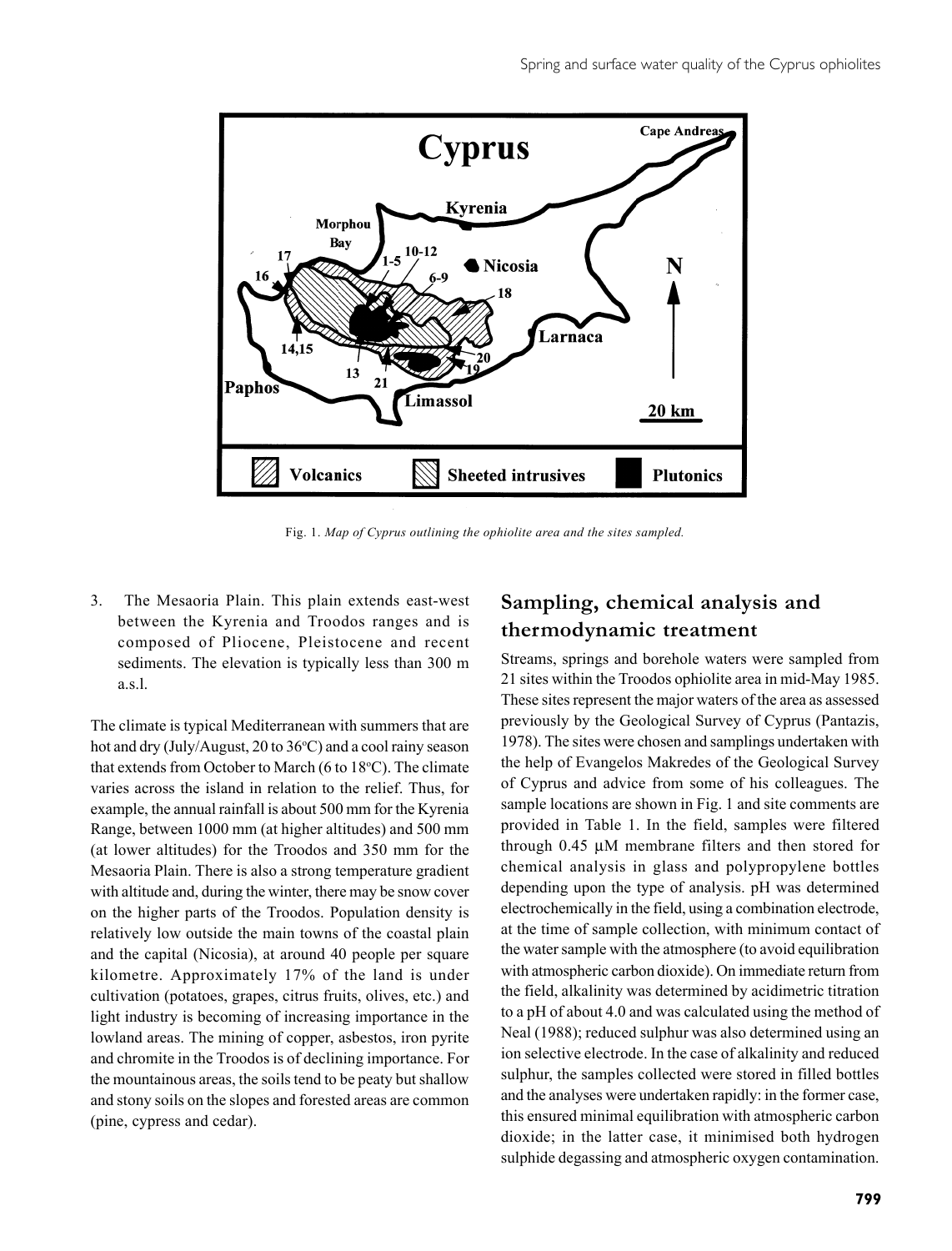

Fig. 1. *Map of Cyprus outlining the ophiolite area and the sites sampled.*

3. The Mesaoria Plain. This plain extends east-west between the Kyrenia and Troodos ranges and is composed of Pliocene, Pleistocene and recent sediments. The elevation is typically less than 300 m a.s.l.

The climate is typical Mediterranean with summers that are hot and dry (July/August, 20 to 36°C) and a cool rainy season that extends from October to March (6 to 18°C). The climate varies across the island in relation to the relief. Thus, for example, the annual rainfall is about 500 mm for the Kyrenia Range, between 1000 mm (at higher altitudes) and 500 mm (at lower altitudes) for the Troodos and 350 mm for the Mesaoria Plain. There is also a strong temperature gradient with altitude and, during the winter, there may be snow cover on the higher parts of the Troodos. Population density is relatively low outside the main towns of the coastal plain and the capital (Nicosia), at around 40 people per square kilometre. Approximately 17% of the land is under cultivation (potatoes, grapes, citrus fruits, olives, etc.) and light industry is becoming of increasing importance in the lowland areas. The mining of copper, asbestos, iron pyrite and chromite in the Troodos is of declining importance. For the mountainous areas, the soils tend to be peaty but shallow and stony soils on the slopes and forested areas are common (pine, cypress and cedar).

# **Sampling, chemical analysis and thermodynamic treatment**

Streams, springs and borehole waters were sampled from 21 sites within the Troodos ophiolite area in mid-May 1985. These sites represent the major waters of the area as assessed previously by the Geological Survey of Cyprus (Pantazis, 1978). The sites were chosen and samplings undertaken with the help of Evangelos Makredes of the Geological Survey of Cyprus and advice from some of his colleagues. The sample locations are shown in Fig. 1 and site comments are provided in Table 1. In the field, samples were filtered through 0.45 µM membrane filters and then stored for chemical analysis in glass and polypropylene bottles depending upon the type of analysis. pH was determined electrochemically in the field, using a combination electrode, at the time of sample collection, with minimum contact of the water sample with the atmosphere (to avoid equilibration with atmospheric carbon dioxide). On immediate return from the field, alkalinity was determined by acidimetric titration to a pH of about 4.0 and was calculated using the method of Neal (1988); reduced sulphur was also determined using an ion selective electrode. In the case of alkalinity and reduced sulphur, the samples collected were stored in filled bottles and the analyses were undertaken rapidly: in the former case, this ensured minimal equilibration with atmospheric carbon dioxide; in the latter case, it minimised both hydrogen sulphide degassing and atmospheric oxygen contamination.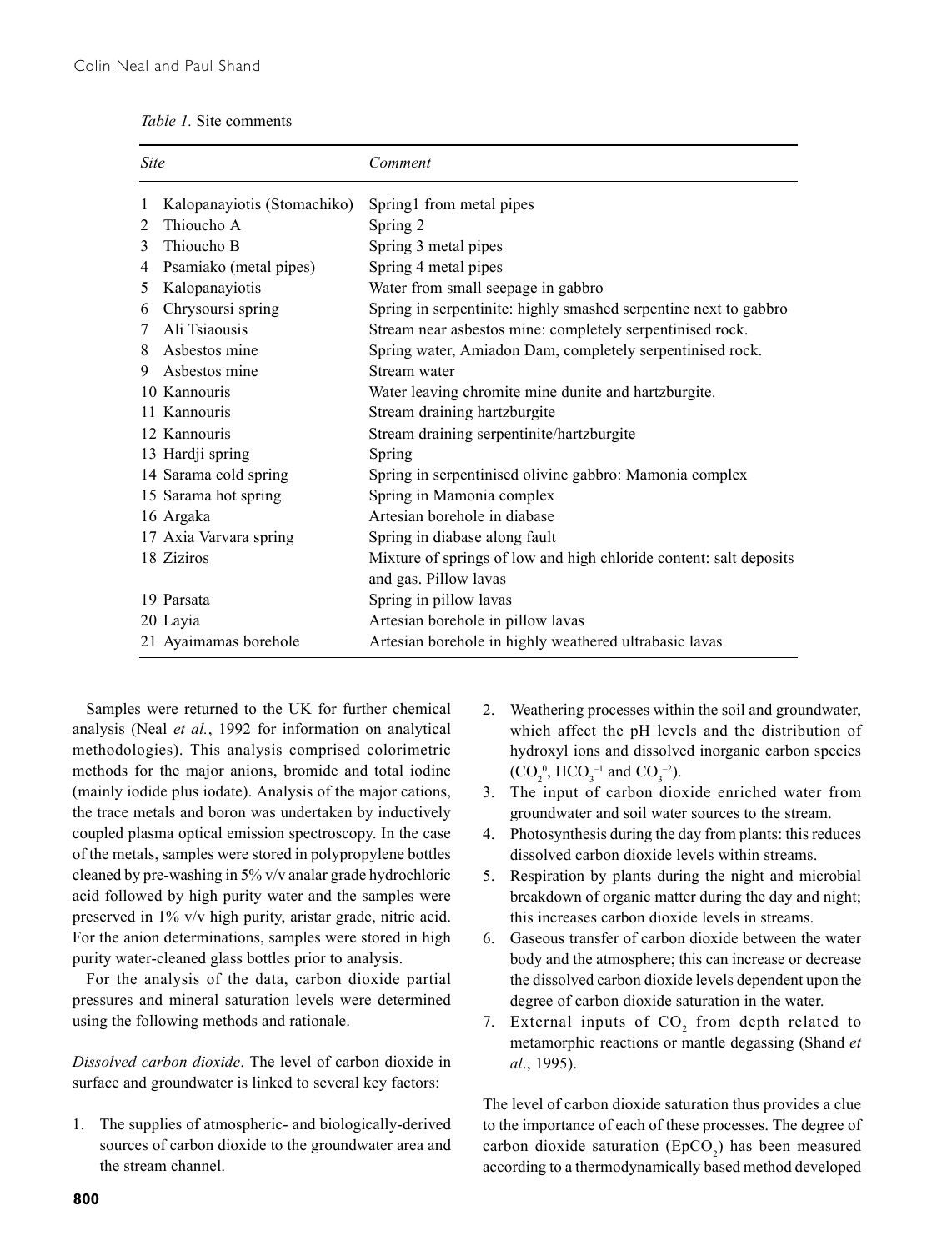| Table 1. Site comments |  |
|------------------------|--|
|------------------------|--|

| <b>Site</b> |                             | Comment                                                                                     |
|-------------|-----------------------------|---------------------------------------------------------------------------------------------|
| 1           | Kalopanayiotis (Stomachiko) | Spring1 from metal pipes                                                                    |
| 2           | Thioucho A                  | Spring 2                                                                                    |
| 3           | Thioucho B                  | Spring 3 metal pipes                                                                        |
| 4           | Psamiako (metal pipes)      | Spring 4 metal pipes                                                                        |
| 5           | Kalopanayiotis              | Water from small seepage in gabbro                                                          |
| 6           | Chrysoursi spring           | Spring in serpentinite: highly smashed serpentine next to gabbro                            |
| 7           | Ali Tsiaousis               | Stream near asbestos mine: completely serpentinised rock.                                   |
| 8           | Asbestos mine               | Spring water, Amiadon Dam, completely serpentinised rock.                                   |
| 9           | Asbestos mine               | Stream water                                                                                |
|             | 10 Kannouris                | Water leaving chromite mine dunite and hartzburgite.                                        |
|             | 11 Kannouris                | Stream draining hartzburgite                                                                |
|             | 12 Kannouris                | Stream draining serpentinite/hartzburgite                                                   |
|             | 13 Hardji spring            | Spring                                                                                      |
|             | 14 Sarama cold spring       | Spring in serpentinised olivine gabbro: Mamonia complex                                     |
|             | 15 Sarama hot spring        | Spring in Mamonia complex                                                                   |
|             | 16 Argaka                   | Artesian borehole in diabase                                                                |
|             | 17 Axia Varvara spring      | Spring in diabase along fault                                                               |
|             | 18 Ziziros                  | Mixture of springs of low and high chloride content: salt deposits<br>and gas. Pillow lavas |
|             | 19 Parsata                  | Spring in pillow lavas                                                                      |
|             | 20 Layia                    | Artesian borehole in pillow lavas                                                           |
|             | 21 Ayaimamas borehole       | Artesian borehole in highly weathered ultrabasic lavas                                      |

Samples were returned to the UK for further chemical analysis (Neal *et al.*, 1992 for information on analytical methodologies). This analysis comprised colorimetric methods for the major anions, bromide and total iodine (mainly iodide plus iodate). Analysis of the major cations, the trace metals and boron was undertaken by inductively coupled plasma optical emission spectroscopy. In the case of the metals, samples were stored in polypropylene bottles cleaned by pre-washing in 5% v/v analar grade hydrochloric acid followed by high purity water and the samples were preserved in 1% v/v high purity, aristar grade, nitric acid. For the anion determinations, samples were stored in high purity water-cleaned glass bottles prior to analysis.

For the analysis of the data, carbon dioxide partial pressures and mineral saturation levels were determined using the following methods and rationale.

*Dissolved carbon dioxide*. The level of carbon dioxide in surface and groundwater is linked to several key factors:

1. The supplies of atmospheric- and biologically-derived sources of carbon dioxide to the groundwater area and the stream channel.

- 2. Weathering processes within the soil and groundwater, which affect the pH levels and the distribution of hydroxyl ions and dissolved inorganic carbon species  $(CO_2^0, HCO_3^{-1}$  and  $CO_3^{-2}$ ).
- 3. The input of carbon dioxide enriched water from groundwater and soil water sources to the stream.
- 4. Photosynthesis during the day from plants: this reduces dissolved carbon dioxide levels within streams.
- 5. Respiration by plants during the night and microbial breakdown of organic matter during the day and night; this increases carbon dioxide levels in streams.
- 6. Gaseous transfer of carbon dioxide between the water body and the atmosphere; this can increase or decrease the dissolved carbon dioxide levels dependent upon the degree of carbon dioxide saturation in the water.
- 7. External inputs of  $CO<sub>2</sub>$  from depth related to metamorphic reactions or mantle degassing (Shand *et al*., 1995).

The level of carbon dioxide saturation thus provides a clue to the importance of each of these processes. The degree of carbon dioxide saturation  $(EpCO<sub>2</sub>)$  has been measured according to a thermodynamically based method developed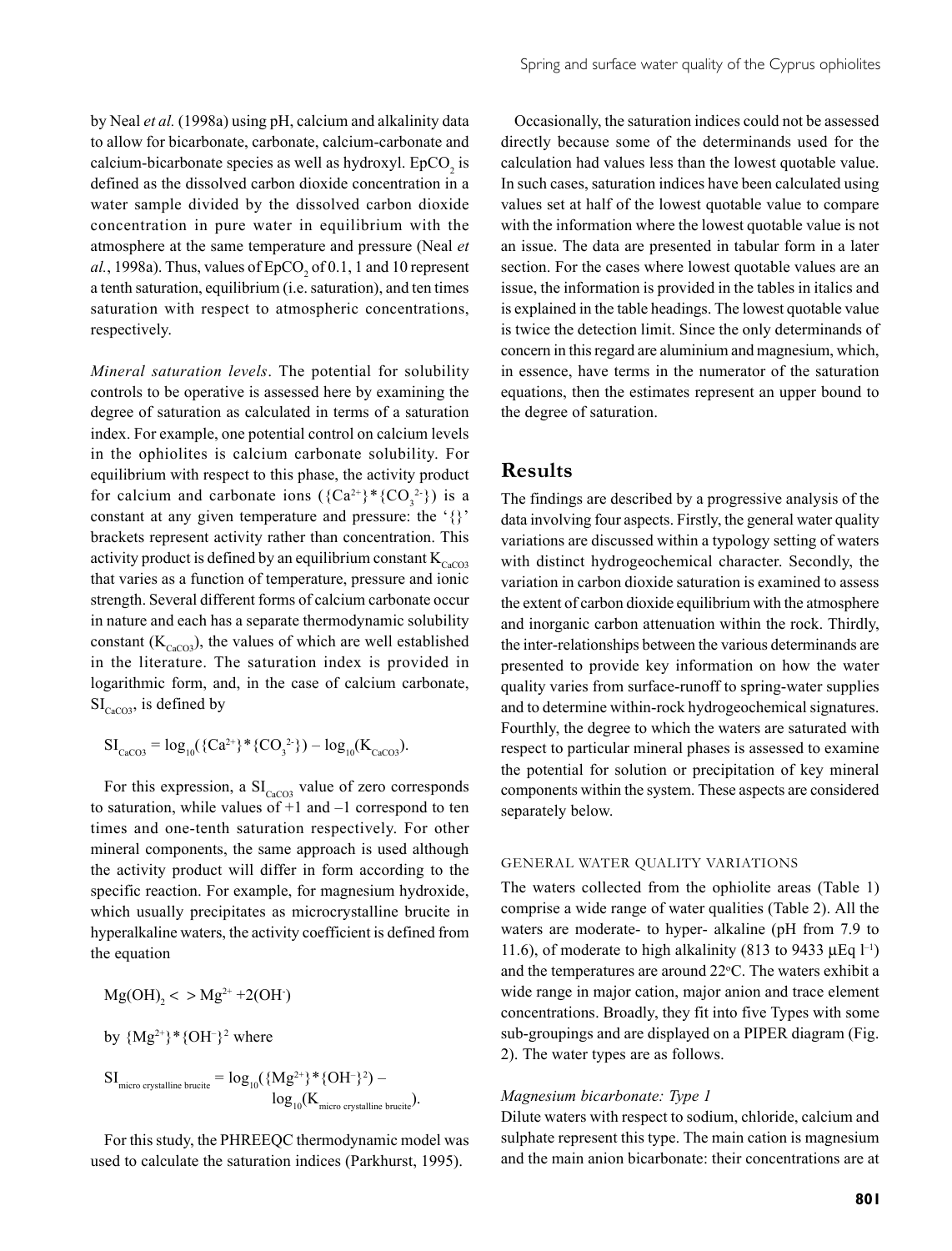by Neal *et al.* (1998a) using pH, calcium and alkalinity data to allow for bicarbonate, carbonate, calcium-carbonate and calcium-bicarbonate species as well as hydroxyl.  $EpCO<sub>2</sub>$  is defined as the dissolved carbon dioxide concentration in a water sample divided by the dissolved carbon dioxide concentration in pure water in equilibrium with the atmosphere at the same temperature and pressure (Neal *et*  $al.$ , 1998a). Thus, values of  $EpCO<sub>2</sub>$  of 0.1, 1 and 10 represent a tenth saturation, equilibrium (i.e. saturation), and ten times saturation with respect to atmospheric concentrations, respectively.

*Mineral saturation levels*. The potential for solubility controls to be operative is assessed here by examining the degree of saturation as calculated in terms of a saturation index. For example, one potential control on calcium levels in the ophiolites is calcium carbonate solubility. For equilibrium with respect to this phase, the activity product for calcium and carbonate ions  $({Ca<sup>2+</sup>} * {CO<sub>3</sub><sup>2-</sup>})$  is a constant at any given temperature and pressure: the '{}' brackets represent activity rather than concentration. This activity product is defined by an equilibrium constant  $K_{C_2CO_3}$ that varies as a function of temperature, pressure and ionic strength. Several different forms of calcium carbonate occur in nature and each has a separate thermodynamic solubility constant  $(K<sub>CaCO3</sub>)$ , the values of which are well established in the literature. The saturation index is provided in logarithmic form, and, in the case of calcium carbonate,  $SI<sub>CaCO3</sub>$ , is defined by

 $SI_{CaCO3} = log_{10}(\{Ca^{2+}\}\times\{CO_3^{2-}\}) - log_{10}(K_{CaCO3}).$ 

For this expression, a  $SI<sub>CaCO3</sub>$  value of zero corresponds to saturation, while values of  $+1$  and  $-1$  correspond to ten times and one-tenth saturation respectively. For other mineral components, the same approach is used although the activity product will differ in form according to the specific reaction. For example, for magnesium hydroxide, which usually precipitates as microcrystalline brucite in hyperalkaline waters, the activity coefficient is defined from the equation

$$
Mg(OH)_{2} <{} > Mg^{2+} + 2(OH^{-})
$$
\nby  $\{Mg^{2+}\}*\{OH^{-}\}^2$  where

\n
$$
SI_{micro\ crystalline bncite} = \log_{10}(\{Mg^{2+}\}*\{OH^{-}\}^2) - \log_{10}(K_{micro\ crystalline bncite}).
$$

For this study, the PHREEQC thermodynamic model was used to calculate the saturation indices (Parkhurst, 1995).

Occasionally, the saturation indices could not be assessed directly because some of the determinands used for the calculation had values less than the lowest quotable value. In such cases, saturation indices have been calculated using values set at half of the lowest quotable value to compare with the information where the lowest quotable value is not an issue. The data are presented in tabular form in a later section. For the cases where lowest quotable values are an issue, the information is provided in the tables in italics and is explained in the table headings. The lowest quotable value is twice the detection limit. Since the only determinands of concern in this regard are aluminium and magnesium, which, in essence, have terms in the numerator of the saturation equations, then the estimates represent an upper bound to the degree of saturation.

## **Results**

The findings are described by a progressive analysis of the data involving four aspects. Firstly, the general water quality variations are discussed within a typology setting of waters with distinct hydrogeochemical character. Secondly, the variation in carbon dioxide saturation is examined to assess the extent of carbon dioxide equilibrium with the atmosphere and inorganic carbon attenuation within the rock. Thirdly, the inter-relationships between the various determinands are presented to provide key information on how the water quality varies from surface-runoff to spring-water supplies and to determine within-rock hydrogeochemical signatures. Fourthly, the degree to which the waters are saturated with respect to particular mineral phases is assessed to examine the potential for solution or precipitation of key mineral components within the system. These aspects are considered separately below.

#### GENERAL WATER QUALITY VARIATIONS

The waters collected from the ophiolite areas (Table 1) comprise a wide range of water qualities (Table 2). All the waters are moderate- to hyper- alkaline (pH from 7.9 to 11.6), of moderate to high alkalinity (813 to 9433  $\mu$ Eq l<sup>-1</sup>) and the temperatures are around 22°C. The waters exhibit a wide range in major cation, major anion and trace element concentrations. Broadly, they fit into five Types with some sub-groupings and are displayed on a PIPER diagram (Fig. 2). The water types are as follows.

#### *Magnesium bicarbonate: Type 1*

Dilute waters with respect to sodium, chloride, calcium and sulphate represent this type. The main cation is magnesium and the main anion bicarbonate: their concentrations are at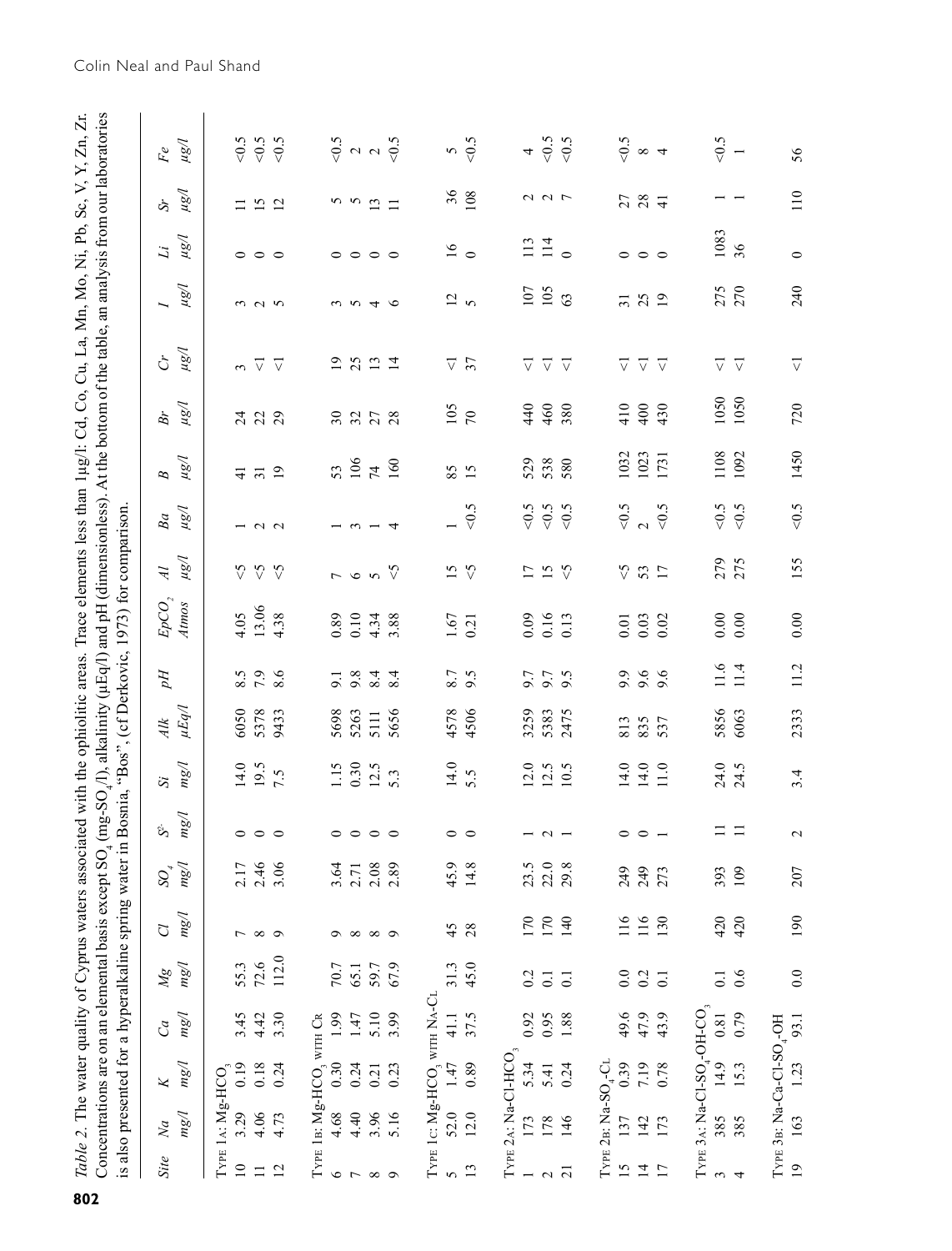| ted with the ophiolitic areas. Trace elements less than 1µg/l: Cd, Co, Cu, La, Mn, Mo, Ni, Pb, Sc, V, Y, Zn, Zr.<br>nan ar<br>.<br>و                                                             |
|--------------------------------------------------------------------------------------------------------------------------------------------------------------------------------------------------|
| $(mg-SO4/l)$ , alkalinity ( $\mu$ Eq <sup>(1</sup> ) and pH (dimensionless). At the bottom of the table, an analysis from our laboratories<br>Bosnia. "Bos". (cf Derkovic, 1973) for comparison. |

|                          |                                      | is also presented for a hyperalkaline spring water in Bo |            |                         |           |                          |                 |                        |                              |                  | Concentrations are on an elemental basis except SO <sub>4</sub> (mg-SO <sub>4</sub> /l), alkalinity ( $\mu$ Eq/l) and pH (dimensionless). At the bottom of the table, an analysis from our laboratories<br>Table 2. The water quality of Cyprus waters associated with the ophiolitic areas. Trace elements less than 1µg/i: Cd, Co, Cu, La, Mn, Mo, Ni, Pb, Sc, V, Y, Zn, Zr.<br>snia, "Bos", (cf Derkovic, 1973) for comparison |                             |                     |                 |                              |                   |                 |                         |                |                                 |
|--------------------------|--------------------------------------|----------------------------------------------------------|------------|-------------------------|-----------|--------------------------|-----------------|------------------------|------------------------------|------------------|-----------------------------------------------------------------------------------------------------------------------------------------------------------------------------------------------------------------------------------------------------------------------------------------------------------------------------------------------------------------------------------------------------------------------------------|-----------------------------|---------------------|-----------------|------------------------------|-------------------|-----------------|-------------------------|----------------|---------------------------------|
| Site                     | mg/l<br>$\overline{Na}$              | mg/l<br>K                                                | mg/l<br>Ca | mg/l<br>Mg              | mgil<br>J | mg/l<br>$SO_{_{\cal 4}}$ | $mg/l$<br>$S^2$ | mg/l<br>$\ddot{\rm s}$ | $\mu Eq/l$<br>$\cal A\cal B$ | ÞЧ               | $EpCO_{_{\rm 2}}$<br>Atmos                                                                                                                                                                                                                                                                                                                                                                                                        | $\mu$ g/l<br>$\overline{H}$ | $\mu$ g/l<br>Ba     | $\mu$ g/l<br>B  | $\mu$ g/l<br>$\mathfrak{B}r$ | $\mu$ g/l<br>Ć    | $\mu$ g/l       | $\mu$ g/l<br>$\ddot{L}$ | $\mu$ g/l<br>S | $\mu$ g/l<br>$Fe$               |
| $\overline{\phantom{0}}$ | TYPE 1A: Mg-HCO<br>3.29              | 0.19                                                     | 3.45       | 55.3                    |           | 2.17                     |                 |                        | 6050                         | 8.5              | 4.05                                                                                                                                                                                                                                                                                                                                                                                                                              | $\Im$                       |                     | $\frac{1}{4}$   |                              |                   |                 | $\circ$                 | $\equiv$       | 50                              |
| $\equiv$                 | 4.06                                 | 0.18                                                     | 4.42       | 72.6                    | $\infty$  | 2.46                     | $\circ$         | $\frac{14.0}{19.5}$    | 5378                         | 7.9              | 13.06                                                                                                                                                                                                                                                                                                                                                                                                                             | $\heartsuit$                | $\sim$ $\sim$       | $\overline{31}$ | 22 23                        | $\sim$ $\sqrt{ }$ | m N N           | $\circ$                 | $15$ $2$       | $<0.5$                          |
| $\overline{12}$          | 4.73                                 | 0.24                                                     | 3.30       | 112.0                   | $\circ$   | 3.06                     | $\circ$         |                        | 9433                         | 8.6              | 4.38                                                                                                                                                                                                                                                                                                                                                                                                                              | $\sqrt{2}$                  |                     | $\overline{19}$ |                              | $\overline{\vee}$ |                 |                         |                | $\leq 0.5$                      |
|                          |                                      | TYPE 1B: Mg-HCO <sub>3</sub> with CR                     |            |                         |           |                          |                 |                        |                              |                  |                                                                                                                                                                                                                                                                                                                                                                                                                                   |                             |                     |                 |                              |                   |                 |                         |                |                                 |
| $\sigma$ $\sim$          | 4.68                                 | 0.30                                                     | 1.99       | 70.7                    | $\sigma$  | 3.64                     | $\circ$         | $\frac{1.15}{0.30}$    | 5698                         |                  | 0.89                                                                                                                                                                                                                                                                                                                                                                                                                              |                             |                     |                 | $30\,$                       |                   |                 |                         |                |                                 |
|                          | 4.40                                 | 0.24                                                     | 1.47       | 65.1                    | $\infty$  | 2.71                     | $\circ$         |                        | 5263                         | $-844$<br>$-844$ | 0.10                                                                                                                                                                                                                                                                                                                                                                                                                              | 7000                        | $\sim$              | 3340            | 327                          | 2821              | ww40            | $\circ\circ\circ\circ$  |                | $\frac{5}{9}$ a a $\frac{5}{9}$ |
| $\infty$                 | 3.96                                 | 0.21                                                     | 5.10       | 59.7                    | $\infty$  | 2.08                     | $\circ$         | 12.5                   | 5111                         |                  | 4.34                                                                                                                                                                                                                                                                                                                                                                                                                              |                             |                     |                 |                              |                   |                 |                         |                |                                 |
|                          | 5.16                                 | 0.23                                                     | 3.99       | 67.9                    |           | 2.89                     | $\circ$         | 53                     | 5656                         |                  | 3.88                                                                                                                                                                                                                                                                                                                                                                                                                              |                             | 4                   |                 |                              |                   |                 |                         |                |                                 |
|                          |                                      | TYPE 1c: Mg-HCO, WITH NA-CL                              |            |                         |           |                          |                 |                        |                              |                  |                                                                                                                                                                                                                                                                                                                                                                                                                                   |                             |                     |                 |                              |                   |                 |                         |                |                                 |
| $\sim$                   | 52.0                                 | 1.47                                                     | 41.1       | 31.3                    | 45        | 45.9                     | $\circ$         | 14.0                   | 4578                         | 8.7              | 1.67                                                                                                                                                                                                                                                                                                                                                                                                                              | $\overline{5}$              |                     | 85              | 105                          | $\overline{\vee}$ | $\frac{2}{5}$   | $\frac{6}{9}$           | 36             | 5                               |
| $\overline{13}$          | 12.0                                 | 0.89                                                     | 37.5       | 45.0                    | 28        | 14.8                     |                 | 5.5                    | 4506                         | 9.5              | 0.21                                                                                                                                                                                                                                                                                                                                                                                                                              | $\sqrt{5}$                  | &0.5                | $\overline{15}$ | $\mathcal{L}$                | $\overline{37}$   |                 |                         | 108            | $\leqslant 0.5$                 |
|                          |                                      | TYPE $2A$ : Na-CI-HCO <sub>3</sub>                       |            |                         |           |                          |                 |                        |                              |                  |                                                                                                                                                                                                                                                                                                                                                                                                                                   |                             |                     |                 |                              |                   |                 |                         |                |                                 |
|                          | 173                                  | 5.34                                                     | 0.92       | 0.2                     | 170       | 23.5                     |                 | 12.0                   | 3259                         | 9.7              | 0.09                                                                                                                                                                                                                                                                                                                                                                                                                              | $\overline{17}$             | $<0.5$              | 529             | 440                          | $\overline{\vee}$ | 107             | 113                     |                | 4                               |
| $\frac{1}{2}$            | 178                                  | 5.41                                                     | 0.95       | $\overline{\textbf{c}}$ | 170       | 22.0                     | $\sim$          | 12.5                   | 5383                         | 6.6              | 0.16                                                                                                                                                                                                                                                                                                                                                                                                                              | $\overline{15}$             | $<0.5$              | 538             | 460                          | $\overline{\vee}$ | 105             | 114                     | ココフ            | $\lesssim 0.5$                  |
|                          | 146                                  | 0.24                                                     | 1.88       | $\overline{0}$ .        | 140       | 29.8                     |                 | 10.5                   | 2475                         | 9.5              | 0.13                                                                                                                                                                                                                                                                                                                                                                                                                              | $\sqrt{2}$                  | &0.5                | 580             | 380                          | $\triangledown$   | 63              | $\circ$                 |                | 50                              |
|                          | $\operatorname{Type2B:\ Na-SO_4-CL}$ |                                                          |            |                         |           |                          |                 |                        |                              |                  |                                                                                                                                                                                                                                                                                                                                                                                                                                   |                             |                     |                 |                              |                   |                 |                         |                |                                 |
| $\overline{15}$          | 137                                  | 0.39                                                     | 49.6       | 0.0                     | 116       | 249                      |                 | 14.0                   | 813                          | 9.9              | 0.01                                                                                                                                                                                                                                                                                                                                                                                                                              | $\sqrt{2}$                  | $<0.5$              | 1032            | 410                          | $\overline{\vee}$ | $\overline{31}$ | $\circ$                 |                | $\leq 0.5$                      |
| $\overline{4}$           | 142                                  | 7.19                                                     | 47.9       | 0.2                     | 116       | 249                      |                 | 14.0                   | 835                          | $9.6$<br>9.6     | 0.03                                                                                                                                                                                                                                                                                                                                                                                                                              | 53                          | $\overline{c}$      | 1023            | 400                          | $\overline{\vee}$ | 25              | $\circ$ $\circ$         | $27$ $8$ $41$  | $\infty$ 4                      |
| $\overline{17}$          | 173                                  | 0.78                                                     | 43.9       | $\overline{0}$          | 130       | 273                      |                 | $11.0$                 | 537                          |                  | 0.02                                                                                                                                                                                                                                                                                                                                                                                                                              |                             | &0.5                | 173             | 430                          | $\triangledown$   |                 |                         |                |                                 |
|                          |                                      | TYPE $3$ A: Na-Cl-SO <sub>4</sub> -OH-CO <sub>3</sub>    |            |                         |           |                          |                 |                        |                              |                  |                                                                                                                                                                                                                                                                                                                                                                                                                                   |                             |                     |                 |                              |                   |                 |                         |                |                                 |
| $\omega$ 4               | 385                                  | 14.9                                                     | 0.81       | $\overline{0}$ :        | 420       | 393                      |                 | 24.5<br>24.5           | 5856                         | 11.6             | 0.00                                                                                                                                                                                                                                                                                                                                                                                                                              | 279<br>275                  | $<0.5$              | 1108            | 1050                         | $\overline{\vee}$ | 275             | 1083                    |                | $rac{1}{5}$                     |
|                          | 385                                  | 15.3                                                     | 0.79       | 0.6                     | 420       | 109                      |                 |                        | 6063                         | 11.4             | 0.00                                                                                                                                                                                                                                                                                                                                                                                                                              |                             | v<br>$\vec{\nabla}$ | 1092            | 1050                         | $\overline{\vee}$ | 270             | 36                      |                |                                 |
| $\overline{19}$          | 163                                  | TYPE 3B: Na-Ca-Cl-SO <sub>4</sub> -OH<br>1.23            | 93.1       | 0.0                     | 190       | 207                      | $\sim$          | 3.4                    | 2333                         | 11.2             | 0.00                                                                                                                                                                                                                                                                                                                                                                                                                              | 155                         | &0.5                | 1450            | 720                          | $\overline{\vee}$ | 240             | $\circ$                 | 110            | 56                              |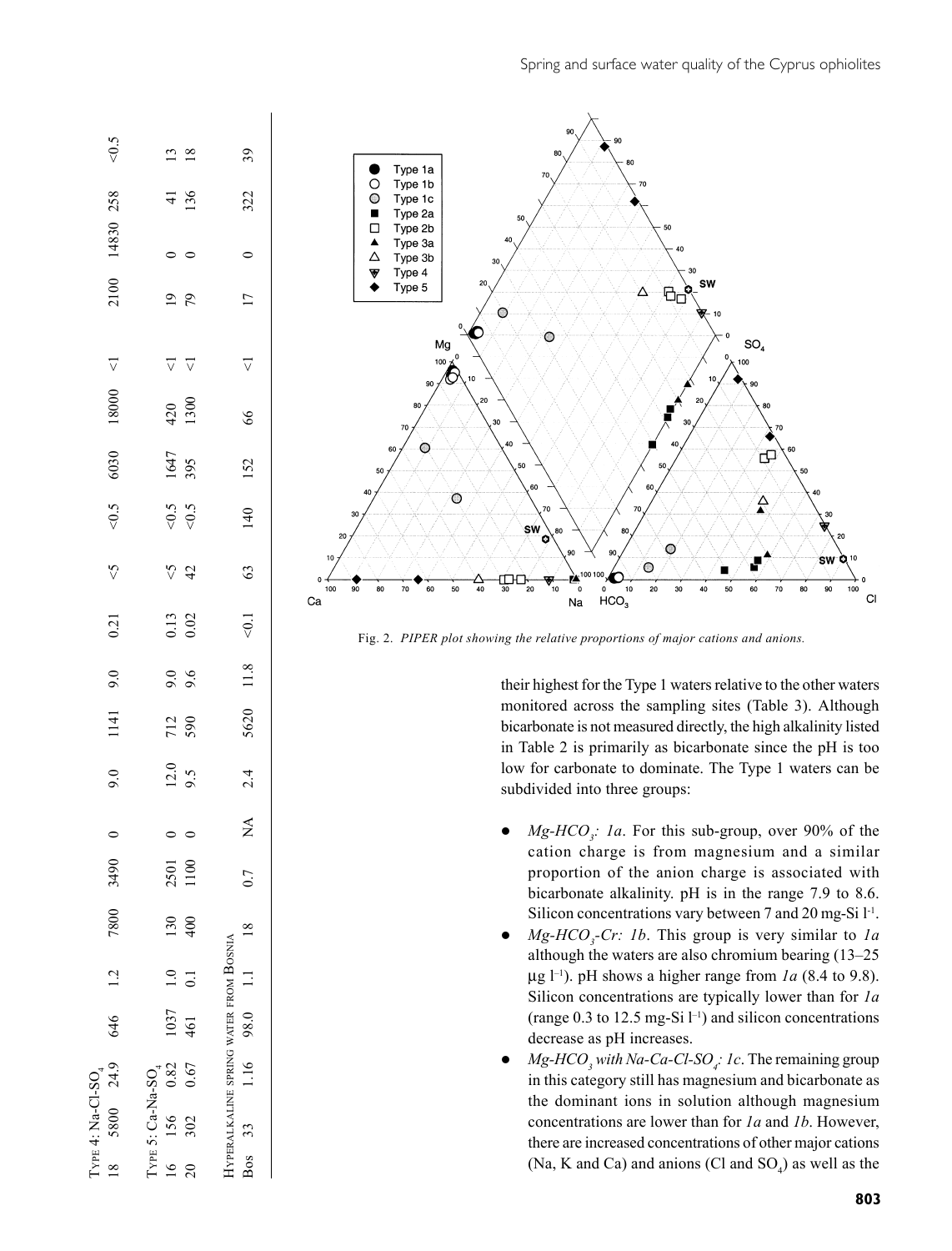

Fig. 2. *PIPER plot showing the relative proportions of major cations and anions.*

their highest for the Type 1 waters relative to the other waters monitored across the sampling sites (Table 3). Although bicarbonate is not measured directly, the high alkalinity listed in Table 2 is primarily as bicarbonate since the pH is too low for carbonate to dominate. The Type 1 waters can be subdivided into three groups:

- *Mg-HCO<sub>3</sub>: 1a*. For this sub-group, over 90% of the cation charge is from magnesium and a similar proportion of the anion charge is associated with bicarbonate alkalinity. pH is in the range 7.9 to 8.6. Silicon concentrations vary between  $7$  and  $20$  mg-Si  $1<sup>-1</sup>$ .
- *Mg-HCO<sub>3</sub>-Cr: 1b*. This group is very similar to *1a* although the waters are also chromium bearing (13–25  $\mu$ g l<sup>-1</sup>). pH shows a higher range from *la* (8.4 to 9.8). Silicon concentrations are typically lower than for *1a* (range  $0.3$  to  $12.5$  mg-Si  $l^{-1}$ ) and silicon concentrations decrease as pH increases.
- *Mg-HCO*<sub>3</sub> with Na-Ca-Cl-SO<sub>4</sub>: 1c. The remaining group in this category still has magnesium and bicarbonate as the dominant ions in solution although magnesium concentrations are lower than for *1a* and *1b*. However, there are increased concentrations of other major cations (Na, K and Ca) and anions (Cl and  $SO_4$ ) as well as the

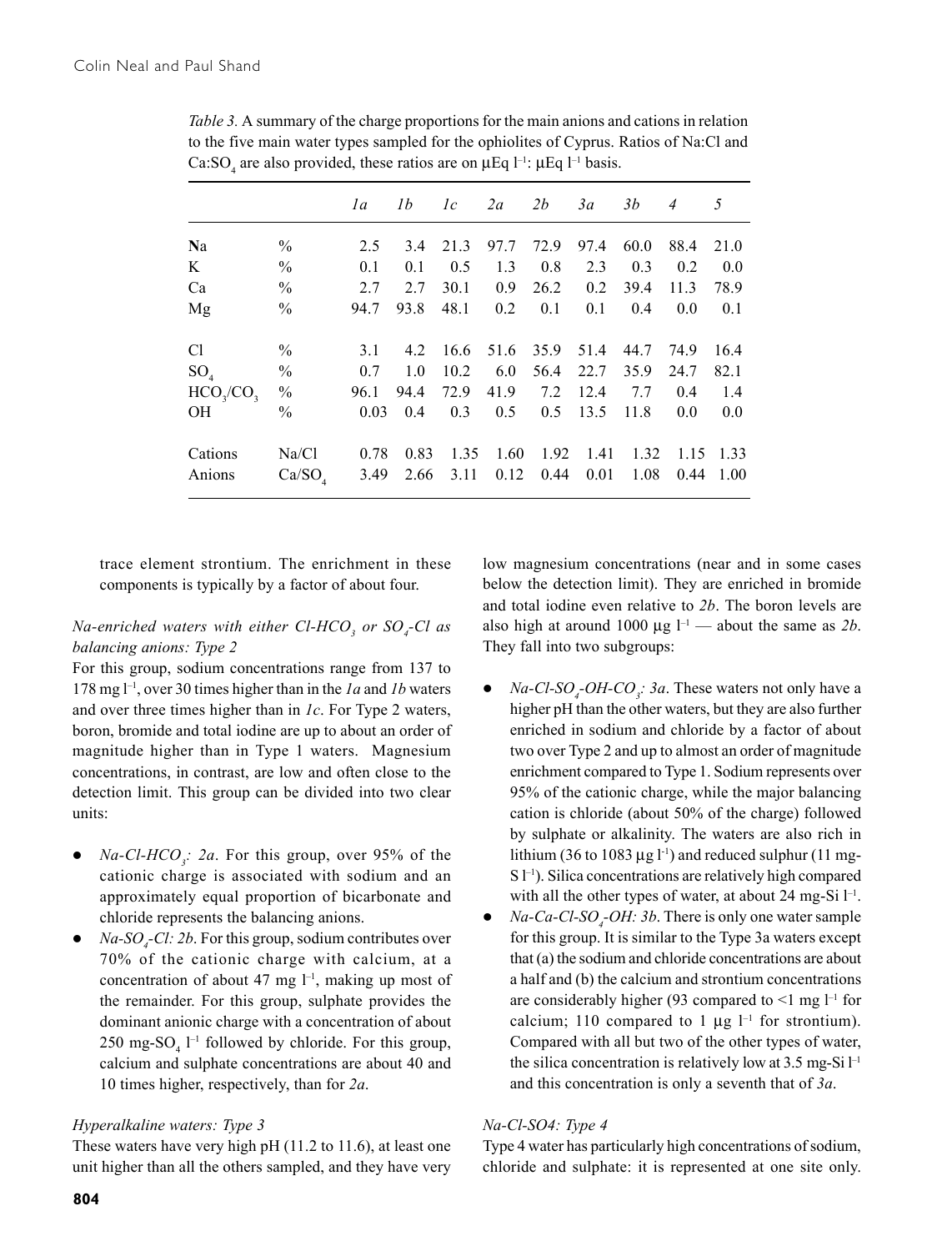|                                   |                    | 1a   | 1b   | 1c   | 2a   | 2b   | 3a   | 3b   | $\overline{4}$ | 5    |
|-----------------------------------|--------------------|------|------|------|------|------|------|------|----------------|------|
| <b>Na</b>                         | $\%$               | 2.5  | 3.4  | 21.3 | 97.7 | 72.9 | 97.4 | 60.0 | 88.4           | 21.0 |
| K                                 | $\%$               | 0.1  | 0.1  | 0.5  | 1.3  | 0.8  | 2.3  | 0.3  | 0.2            | 0.0  |
| Ca                                | $\frac{0}{0}$      | 2.7  | 2.7  | 30.1 | 0.9  | 26.2 | 0.2  | 39.4 | 11.3           | 78.9 |
| Mg                                | $\%$               | 94.7 | 93.8 | 48.1 | 0.2  | 0.1  | 0.1  | 0.4  | 0.0            | 0.1  |
| C <sub>1</sub>                    | $\frac{0}{0}$      | 3.1  | 4.2  | 16.6 | 51.6 | 35.9 | 51.4 | 44.7 | 74.9           | 16.4 |
| SO <sub>4</sub>                   | $\%$               | 0.7  | 1.0  | 10.2 | 6.0  | 56.4 | 22.7 | 35.9 | 24.7           | 82.1 |
| HCO <sub>3</sub> /CO <sub>3</sub> | $\%$               | 96.1 | 94.4 | 72.9 | 41.9 | 7.2  | 12.4 | 7.7  | 0.4            | 1.4  |
| OН                                | $\frac{0}{0}$      | 0.03 | 0.4  | 0.3  | 0.5  | 0.5  | 13.5 | 11.8 | 0.0            | 0.0  |
| Cations                           | Na/C1              | 0.78 | 0.83 | 1.35 | 1.60 | 1.92 | 1.41 | 1.32 | 1.15           | 1.33 |
| Anions                            | Ca/SO <sub>4</sub> | 3.49 | 2.66 | 3.11 | 0.12 | 0.44 | 0.01 | 1.08 | 0.44           | 1.00 |

*Table 3.* A summary of the charge proportions for the main anions and cations in relation to the five main water types sampled for the ophiolites of Cyprus. Ratios of Na:Cl and Ca: SO<sub>4</sub> are also provided, these ratios are on  $\mu$ Eq l<sup>-1</sup>:  $\mu$ Eq l<sup>-1</sup> basis.

trace element strontium. The enrichment in these components is typically by a factor of about four.

## *Na-enriched waters with either Cl-HCO<sub>3</sub> or SO<sub>4</sub>-Cl as balancing anions: Type 2*

For this group, sodium concentrations range from 137 to 178 mg l–1, over 30 times higher than in the *1a* and *1b* waters and over three times higher than in *1c*. For Type 2 waters, boron, bromide and total iodine are up to about an order of magnitude higher than in Type 1 waters. Magnesium concentrations, in contrast, are low and often close to the detection limit. This group can be divided into two clear units:

- *Na-Cl-HCO<sub>3</sub>*: 2*a*. For this group, over 95% of the cationic charge is associated with sodium and an approximately equal proportion of bicarbonate and chloride represents the balancing anions.
- *Na-SO<sub>4</sub>-Cl: 2b*. For this group, sodium contributes over 70% of the cationic charge with calcium, at a concentration of about 47 mg  $l^{-1}$ , making up most of the remainder. For this group, sulphate provides the dominant anionic charge with a concentration of about 250 mg-SO<sub>4</sub>  $l^{-1}$  followed by chloride. For this group, calcium and sulphate concentrations are about 40 and 10 times higher, respectively, than for *2a*.

## *Hyperalkaline waters: Type 3*

These waters have very high pH (11.2 to 11.6), at least one unit higher than all the others sampled, and they have very

low magnesium concentrations (near and in some cases below the detection limit). They are enriched in bromide and total iodine even relative to *2b*. The boron levels are also high at around 1000  $\mu$ g l<sup>-1</sup> — about the same as 2*b*. They fall into two subgroups:

- *Na-Cl-SO<sub>4</sub>*-*OH-CO<sub>3</sub>*: 3*a*. These waters not only have a higher pH than the other waters, but they are also further enriched in sodium and chloride by a factor of about two over Type 2 and up to almost an order of magnitude enrichment compared to Type 1. Sodium represents over 95% of the cationic charge, while the major balancing cation is chloride (about 50% of the charge) followed by sulphate or alkalinity. The waters are also rich in lithium (36 to 1083  $\mu$ g l<sup>-1</sup>) and reduced sulphur (11 mg-S l<sup>-1</sup>). Silica concentrations are relatively high compared with all the other types of water, at about 24 mg-Si  $l^{-1}$ .
- *Na-Ca-Cl-SO<sub>4</sub>-OH: 3b.* There is only one water sample for this group. It is similar to the Type 3a waters except that (a) the sodium and chloride concentrations are about a half and (b) the calcium and strontium concentrations are considerably higher (93 compared to  $\leq 1$  mg  $l^{-1}$  for calcium; 110 compared to 1  $\mu$ g l<sup>-1</sup> for strontium). Compared with all but two of the other types of water, the silica concentration is relatively low at  $3.5 \text{ mg-Si } l^{-1}$ and this concentration is only a seventh that of *3a*.

## *Na-Cl-SO4: Type 4*

Type 4 water has particularly high concentrations of sodium, chloride and sulphate: it is represented at one site only.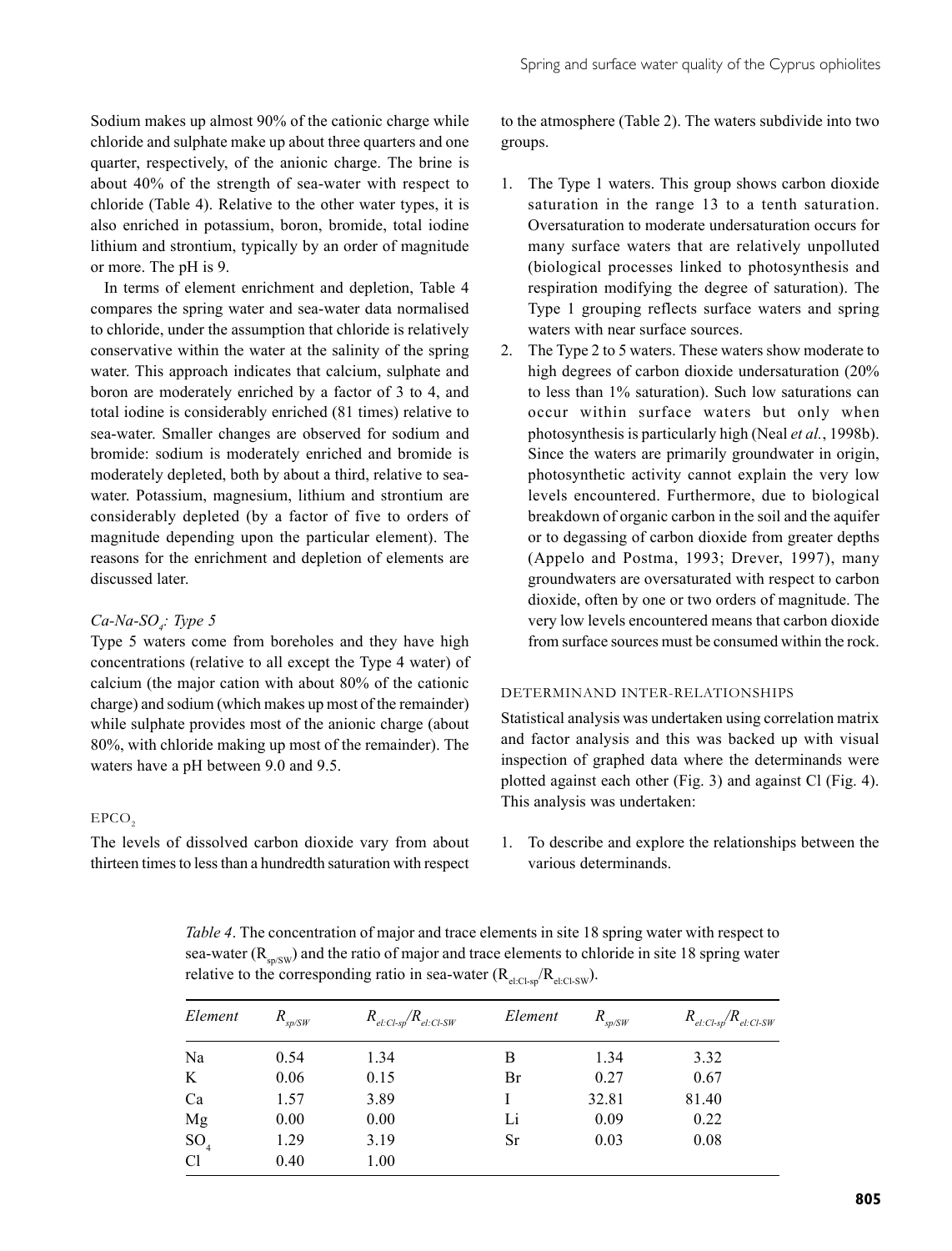Sodium makes up almost 90% of the cationic charge while chloride and sulphate make up about three quarters and one quarter, respectively, of the anionic charge. The brine is about 40% of the strength of sea-water with respect to chloride (Table 4). Relative to the other water types, it is also enriched in potassium, boron, bromide, total iodine lithium and strontium, typically by an order of magnitude or more. The pH is 9.

In terms of element enrichment and depletion, Table 4 compares the spring water and sea-water data normalised to chloride, under the assumption that chloride is relatively conservative within the water at the salinity of the spring water. This approach indicates that calcium, sulphate and boron are moderately enriched by a factor of 3 to 4, and total iodine is considerably enriched (81 times) relative to sea-water. Smaller changes are observed for sodium and bromide: sodium is moderately enriched and bromide is moderately depleted, both by about a third, relative to seawater. Potassium, magnesium, lithium and strontium are considerably depleted (by a factor of five to orders of magnitude depending upon the particular element). The reasons for the enrichment and depletion of elements are discussed later.

## *Ca-Na-SO4 : Type 5*

Type 5 waters come from boreholes and they have high concentrations (relative to all except the Type 4 water) of calcium (the major cation with about 80% of the cationic charge) and sodium (which makes up most of the remainder) while sulphate provides most of the anionic charge (about 80%, with chloride making up most of the remainder). The waters have a pH between 9.0 and 9.5.

## $EPCO<sub>2</sub>$

The levels of dissolved carbon dioxide vary from about thirteen times to less than a hundredth saturation with respect

to the atmosphere (Table 2). The waters subdivide into two groups.

- 1. The Type 1 waters. This group shows carbon dioxide saturation in the range 13 to a tenth saturation. Oversaturation to moderate undersaturation occurs for many surface waters that are relatively unpolluted (biological processes linked to photosynthesis and respiration modifying the degree of saturation). The Type 1 grouping reflects surface waters and spring waters with near surface sources.
- 2. The Type 2 to 5 waters. These waters show moderate to high degrees of carbon dioxide undersaturation (20% to less than 1% saturation). Such low saturations can occur within surface waters but only when photosynthesis is particularly high (Neal *et al.*, 1998b). Since the waters are primarily groundwater in origin, photosynthetic activity cannot explain the very low levels encountered. Furthermore, due to biological breakdown of organic carbon in the soil and the aquifer or to degassing of carbon dioxide from greater depths (Appelo and Postma, 1993; Drever, 1997), many groundwaters are oversaturated with respect to carbon dioxide, often by one or two orders of magnitude. The very low levels encountered means that carbon dioxide from surface sources must be consumed within the rock.

### DETERMINAND INTER-RELATIONSHIPS

Statistical analysis was undertaken using correlation matrix and factor analysis and this was backed up with visual inspection of graphed data where the determinands were plotted against each other (Fig. 3) and against Cl (Fig. 4). This analysis was undertaken:

1. To describe and explore the relationships between the various determinands.

*Table 4*. The concentration of major and trace elements in site 18 spring water with respect to sea-water  $(R_{\text{sn/SW}})$  and the ratio of major and trace elements to chloride in site 18 spring water relative to the corresponding ratio in sea-water  $(R_{el:CL-SD}/R_{el:CL-SW})$ .

| Element         | $R_{sp/SW}$ | $R_{el:Cl-sp}/R_{el:Cl-SW}$ | Element   | $R_{sp/SW}$ | $R_{el:Cl-sp}/R_{el:Cl-SW}$ |
|-----------------|-------------|-----------------------------|-----------|-------------|-----------------------------|
| Na              | 0.54        | 1.34                        | B         | 1.34        | 3.32                        |
| K               | 0.06        | 0.15                        | Br        | 0.27        | 0.67                        |
| Ca              | 1.57        | 3.89                        |           | 32.81       | 81.40                       |
| Mg              | 0.00        | 0.00                        | Li        | 0.09        | 0.22                        |
| SO <sub>4</sub> | 1.29        | 3.19                        | <b>Sr</b> | 0.03        | 0.08                        |
| Cl              | 0.40        | 1.00                        |           |             |                             |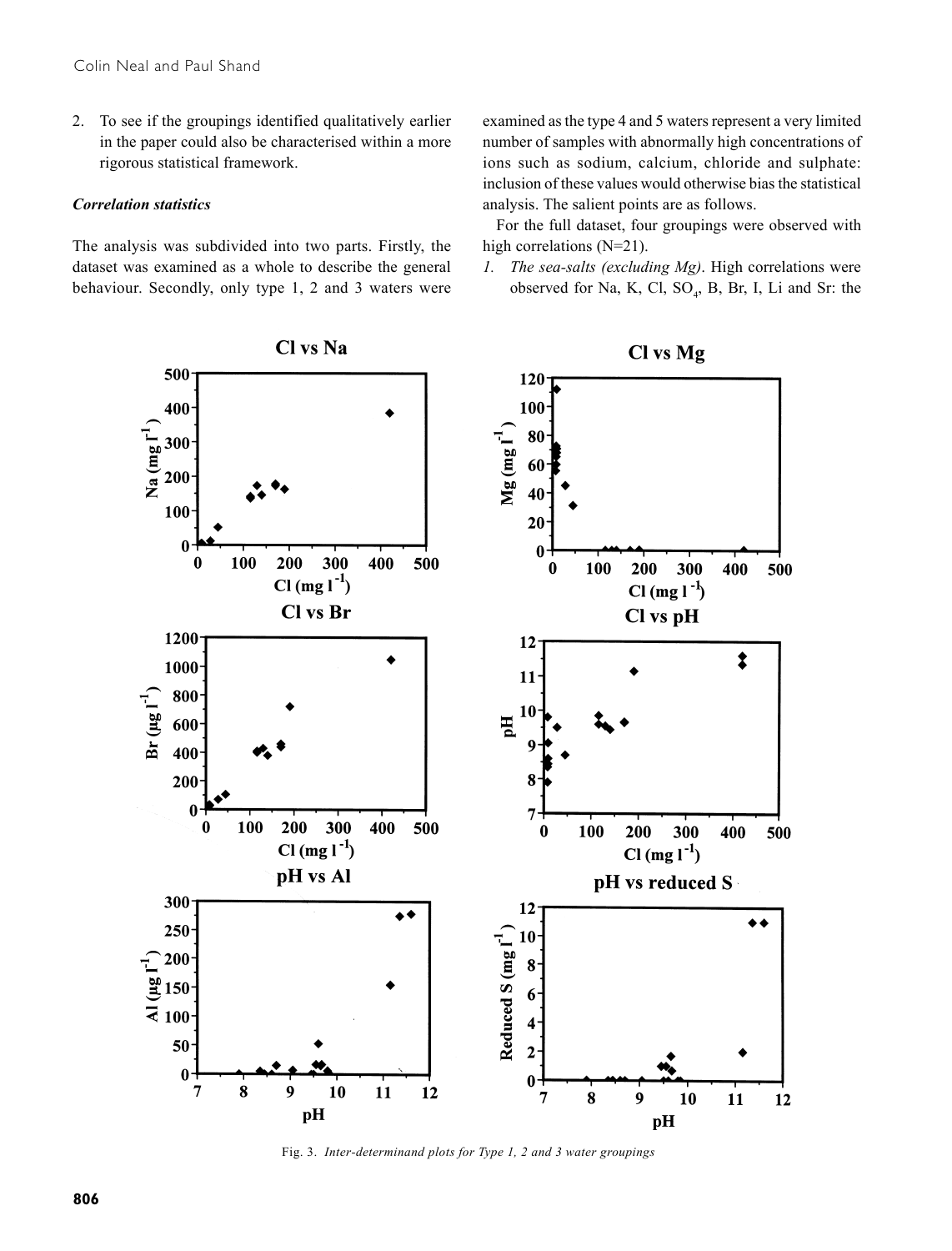2. To see if the groupings identified qualitatively earlier in the paper could also be characterised within a more rigorous statistical framework.

#### *Correlation statistics*

The analysis was subdivided into two parts. Firstly, the dataset was examined as a whole to describe the general behaviour. Secondly, only type 1, 2 and 3 waters were

examined as the type 4 and 5 waters represent a very limited number of samples with abnormally high concentrations of ions such as sodium, calcium, chloride and sulphate: inclusion of these values would otherwise bias the statistical analysis. The salient points are as follows.

For the full dataset, four groupings were observed with high correlations (N=21).

*1. The sea-salts (excluding Mg)*. High correlations were observed for Na, K, Cl,  $SO_4$ , B, Br, I, Li and Sr: the



Fig. 3. *Inter-determinand plots for Type 1, 2 and 3 water groupings*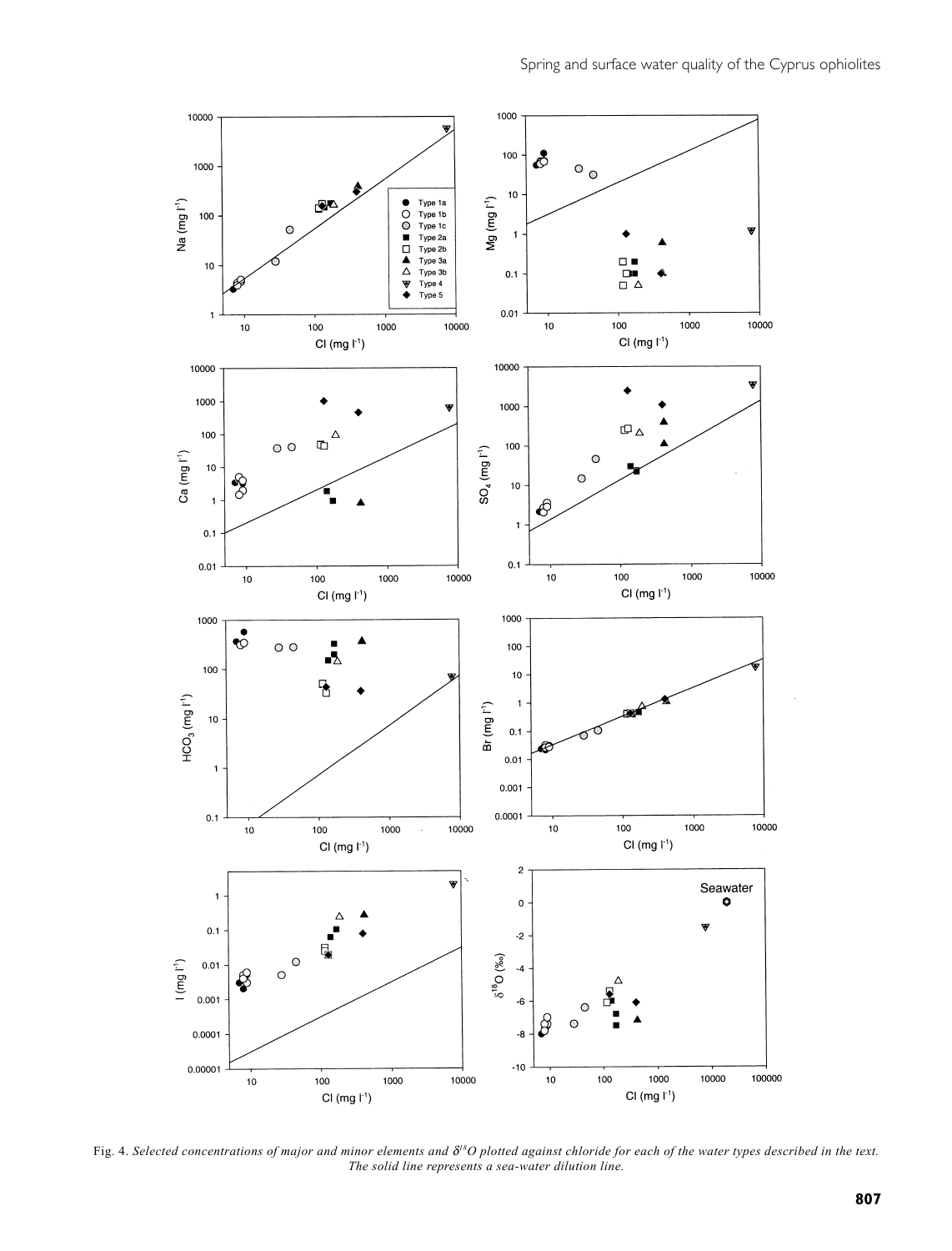

Fig. 4. *Selected concentrations of major and minor elements and* δ*18O plotted against chloride for each of the water types described in the text. The solid line represents a sea-water dilution line.*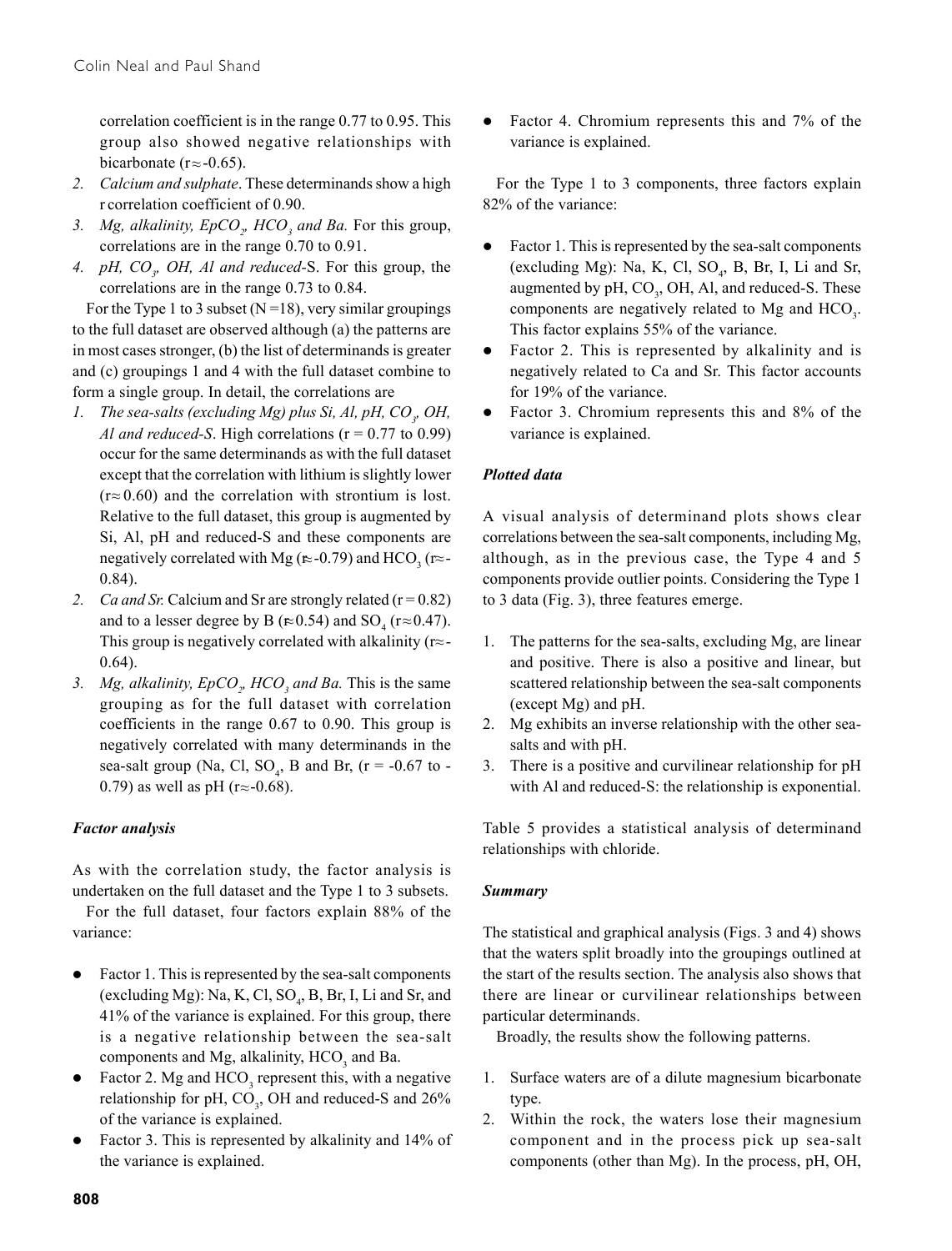correlation coefficient is in the range 0.77 to 0.95. This group also showed negative relationships with bicarbonate ( $r \approx -0.65$ ).

- *2. Calcium and sulphate*. These determinands show a high r correlation coefficient of 0.90.
- 3. *Mg, alkalinity, EpCO<sub>2</sub>, HCO<sub>3</sub> and Ba.* For this group, correlations are in the range 0.70 to 0.91.
- 4. *pH, CO<sub>3</sub>, OH, Al and reduced*-S. For this group, the correlations are in the range 0.73 to 0.84.

For the Type 1 to 3 subset ( $N = 18$ ), very similar groupings to the full dataset are observed although (a) the patterns are in most cases stronger, (b) the list of determinands is greater and (c) groupings 1 and 4 with the full dataset combine to form a single group. In detail, the correlations are

- *1. The sea-salts (excluding Mg) plus Si, Al, pH, CO<sub>3</sub>, OH, Al and reduced-S*. High correlations (r = 0.77 to 0.99) occur for the same determinands as with the full dataset except that the correlation with lithium is slightly lower  $(r \approx 0.60)$  and the correlation with strontium is lost. Relative to the full dataset, this group is augmented by Si, Al, pH and reduced-S and these components are negatively correlated with Mg ( $\approx$  -0.79) and HCO<sub>3</sub> ( $\approx$  -0.84).
- 2. Ca and Sr. Calcium and Sr are strongly related  $(r = 0.82)$ and to a lesser degree by B ( $\approx 0.54$ ) and SO<sub>4</sub> ( $\approx 0.47$ ). This group is negatively correlated with alkalinity ( $r \approx -1$ 0.64).
- 3. *Mg, alkalinity, EpCO<sub>2</sub>, HCO<sub>3</sub> and Ba.* This is the same grouping as for the full dataset with correlation coefficients in the range 0.67 to 0.90. This group is negatively correlated with many determinands in the sea-salt group (Na, Cl,  $SO_4$ , B and Br, (r = -0.67 to -0.79) as well as pH ( $r \approx -0.68$ ).

## *Factor analysis*

As with the correlation study, the factor analysis is undertaken on the full dataset and the Type 1 to 3 subsets.

For the full dataset, four factors explain 88% of the variance:

- Factor 1. This is represented by the sea-salt components (excluding Mg): Na, K, Cl,  $SO_4$ , B, Br, I, Li and Sr, and 41% of the variance is explained. For this group, there is a negative relationship between the sea-salt components and Mg, alkalinity,  $HCO<sub>3</sub>$  and Ba.
- Factor 2. Mg and  $HCO_3$  represent this, with a negative relationship for pH,  $CO<sub>3</sub>$ , OH and reduced-S and 26% of the variance is explained.
- Factor 3. This is represented by alkalinity and  $14\%$  of the variance is explained.

Factor 4. Chromium represents this and 7% of the variance is explained.

For the Type 1 to 3 components, three factors explain 82% of the variance:

- Factor 1. This is represented by the sea-salt components (excluding Mg): Na, K, Cl,  $SO_4$ , B, Br, I, Li and Sr, augmented by  $\rm pH$ ,  $\rm CO_3$ ,  $\rm OH$ ,  $\rm Al$ , and reduced-S. These components are negatively related to Mg and  $HCO<sub>3</sub>$ . This factor explains 55% of the variance.
- Factor 2. This is represented by alkalinity and is negatively related to Ca and Sr. This factor accounts for 19% of the variance.
- Factor 3. Chromium represents this and  $8\%$  of the variance is explained.

## *Plotted data*

A visual analysis of determinand plots shows clear correlations between the sea-salt components, including Mg, although, as in the previous case, the Type 4 and 5 components provide outlier points. Considering the Type 1 to 3 data (Fig. 3), three features emerge.

- 1. The patterns for the sea-salts, excluding Mg, are linear and positive. There is also a positive and linear, but scattered relationship between the sea-salt components (except Mg) and pH.
- 2. Mg exhibits an inverse relationship with the other seasalts and with pH.
- 3. There is a positive and curvilinear relationship for pH with Al and reduced-S: the relationship is exponential.

Table 5 provides a statistical analysis of determinand relationships with chloride.

## *Summary*

The statistical and graphical analysis (Figs. 3 and 4) shows that the waters split broadly into the groupings outlined at the start of the results section. The analysis also shows that there are linear or curvilinear relationships between particular determinands.

Broadly, the results show the following patterns.

- 1. Surface waters are of a dilute magnesium bicarbonate type.
- 2. Within the rock, the waters lose their magnesium component and in the process pick up sea-salt components (other than Mg). In the process, pH, OH,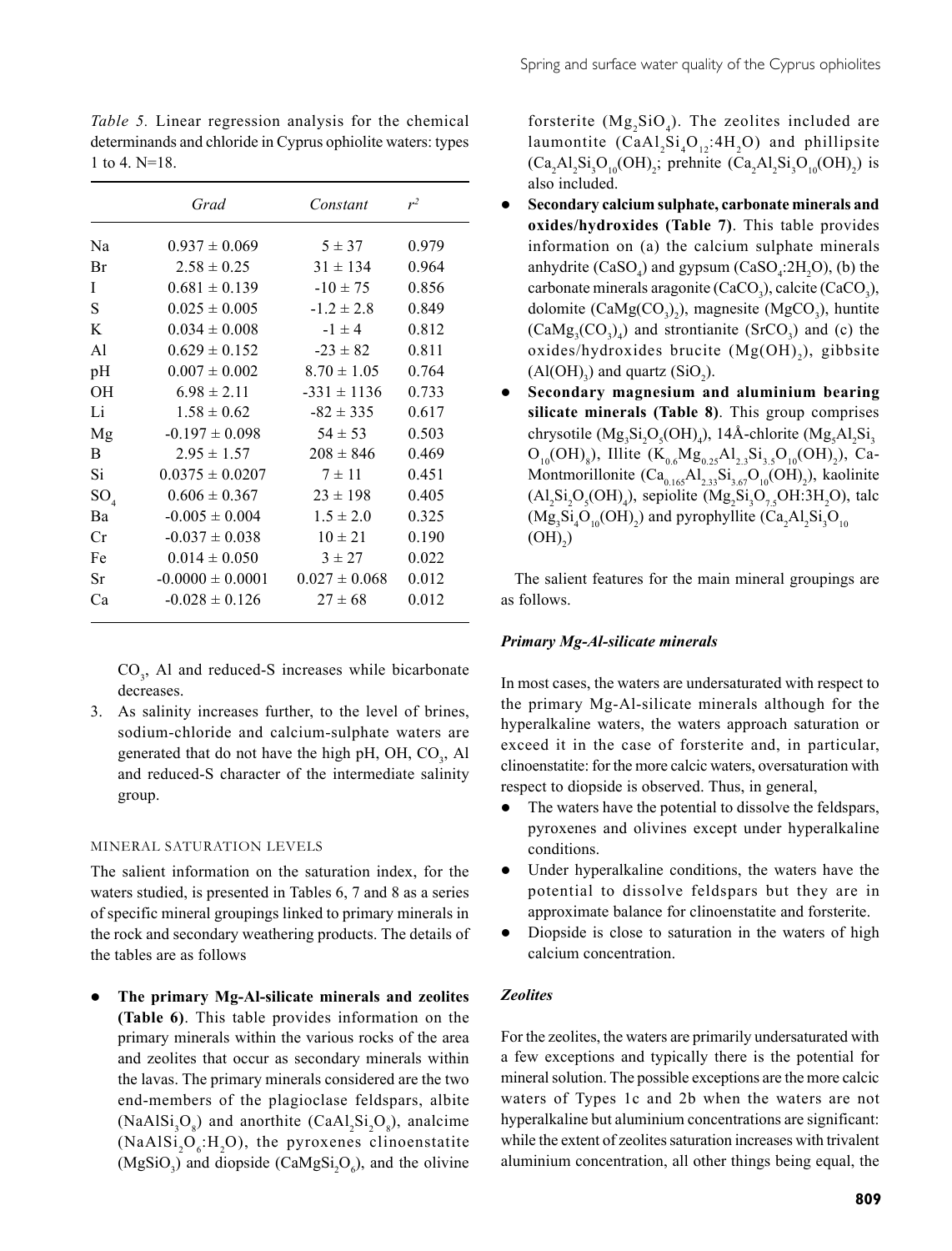|                 | Grad                 | Constant          | $r^2$ |
|-----------------|----------------------|-------------------|-------|
| Na              | $0.937 \pm 0.069$    | $5 \pm 37$        | 0.979 |
| Br              | $2.58 \pm 0.25$      | $31 \pm 134$      | 0.964 |
| I               | $0.681 \pm 0.139$    | $-10 \pm 75$      | 0.856 |
| S               | $0.025 \pm 0.005$    | $-1.2 \pm 2.8$    | 0.849 |
| K               | $0.034 \pm 0.008$    | $-1 \pm 4$        | 0.812 |
| A <sup>1</sup>  | $0.629 \pm 0.152$    | $-23 \pm 82$      | 0.811 |
| pH              | $0.007 \pm 0.002$    | $8.70 \pm 1.05$   | 0.764 |
| OН              | $6.98 \pm 2.11$      | $-331 \pm 1136$   | 0.733 |
| Li              | $1.58 \pm 0.62$      | $-82 \pm 335$     | 0.617 |
| Mg              | $-0.197 \pm 0.098$   | $54 \pm 53$       | 0.503 |
| B               | $2.95 \pm 1.57$      | $208 \pm 846$     | 0.469 |
| Si              | $0.0375 \pm 0.0207$  | $7 \pm 11$        | 0.451 |
| SO <sub>4</sub> | $0.606 \pm 0.367$    | $23 \pm 198$      | 0.405 |
| Ba              | $-0.005 \pm 0.004$   | $1.5 \pm 2.0$     | 0.325 |
| Cr              | $-0.037 \pm 0.038$   | $10 \pm 21$       | 0.190 |
| Fe              | $0.014 \pm 0.050$    | $3 \pm 27$        | 0.022 |
| <b>Sr</b>       | $-0.0000 \pm 0.0001$ | $0.027 \pm 0.068$ | 0.012 |
| Ca              | $-0.028 \pm 0.126$   | $27 \pm 68$       | 0.012 |

*Table 5.* Linear regression analysis for the chemical determinands and chloride in Cyprus ophiolite waters: types 1 to 4. N=18.

 $CO<sub>3</sub>$ , Al and reduced-S increases while bicarbonate decreases.

3. As salinity increases further, to the level of brines, sodium-chloride and calcium-sulphate waters are generated that do not have the high pH,  $OH$ ,  $CO<sub>3</sub>$ , Al and reduced-S character of the intermediate salinity group.

#### MINERAL SATURATION LEVELS

The salient information on the saturation index, for the waters studied, is presented in Tables 6, 7 and 8 as a series of specific mineral groupings linked to primary minerals in the rock and secondary weathering products. The details of the tables are as follows

z **The primary Mg-Al-silicate minerals and zeolites (Table 6)**. This table provides information on the primary minerals within the various rocks of the area and zeolites that occur as secondary minerals within the lavas. The primary minerals considered are the two end-members of the plagioclase feldspars, albite  $(NaAISi<sub>3</sub>O<sub>8</sub>)$  and anorthite  $(CaAI<sub>2</sub>Si<sub>2</sub>O<sub>8</sub>)$ , analcime  $(NaAISi<sub>2</sub>O<sub>6</sub>:H<sub>2</sub>O)$ , the pyroxenes clinoenstatite  $(MgSiO<sub>3</sub>)$  and diopside (CaMgSi<sub>2</sub>O<sub>6</sub>), and the olivine

forsterite  $(Mg_2SiO_4)$ . The zeolites included are laumontite  $(CaAl<sub>2</sub>Si<sub>4</sub>O<sub>12</sub>:4H<sub>2</sub>O)$  and phillipsite  $(Ca_2Al_2Si_3O_{10}(OH)_2;$  prehnite  $(Ca_2Al_2Si_3O_{10}(OH)_2)$  is also included.

- **•** Secondary calcium sulphate, carbonate minerals and **oxides/hydroxides (Table 7)**. This table provides information on (a) the calcium sulphate minerals anhydrite  $(CaSO_4)$  and gypsum  $(CaSO_4:2H_2O)$ , (b) the carbonate minerals aragonite (CaCO<sub>3</sub>), calcite (CaCO<sub>3</sub>), dolomite (Ca $Mg(CO_3)_2$ ), magnesite (MgCO<sub>3</sub>), huntite  $(CaMg_3(CO_3)_4)$  and strontianite (SrCO<sub>3</sub>) and (c) the oxides/hydroxides brucite  $(Mg(OH)_2)$ , gibbsite  $(AI(OH)<sub>3</sub>)$  and quartz  $(SiO<sub>2</sub>)$ .
- z **Secondary magnesium and aluminium bearing silicate minerals (Table 8)**. This group comprises chrysotile (Mg<sub>3</sub>Si<sub>2</sub>O<sub>5</sub>(OH)<sub>4</sub>), 14Å-chlorite (Mg<sub>5</sub>Al<sub>2</sub>Si<sub>3</sub>  $O_{10}(OH)_8$ ), Illite  $(K_{0.6}Mg_{0.25}Al_{2.3}Si_{3.5}O_{10}(OH)_2)$ , Ca-Montmorillonite  $(Ca_{0.165}Al_{2.33}Si_{3.67}O_{10}(OH)_2)$ , kaolinite  $(Al_2Si_2O_5(OH)_4)$ , sepiolite  $(Mg_2Si_3O_{7.5}OH:3H_2O)$ , talc  $(Mg_3Si_4O_{10}(OH)_2)$  and pyrophyllite  $(Ca_2Al_2Si_3O_{10}$  $(OH)_2$

The salient features for the main mineral groupings are as follows.

#### *Primary Mg-Al-silicate minerals*

In most cases, the waters are undersaturated with respect to the primary Mg-Al-silicate minerals although for the hyperalkaline waters, the waters approach saturation or exceed it in the case of forsterite and, in particular, clinoenstatite: for the more calcic waters, oversaturation with respect to diopside is observed. Thus, in general,

- $\bullet$  The waters have the potential to dissolve the feldspars, pyroxenes and olivines except under hyperalkaline conditions.
- Under hyperalkaline conditions, the waters have the potential to dissolve feldspars but they are in approximate balance for clinoenstatite and forsterite.
- Diopside is close to saturation in the waters of high calcium concentration.

#### *Zeolites*

For the zeolites, the waters are primarily undersaturated with a few exceptions and typically there is the potential for mineral solution. The possible exceptions are the more calcic waters of Types 1c and 2b when the waters are not hyperalkaline but aluminium concentrations are significant: while the extent of zeolites saturation increases with trivalent aluminium concentration, all other things being equal, the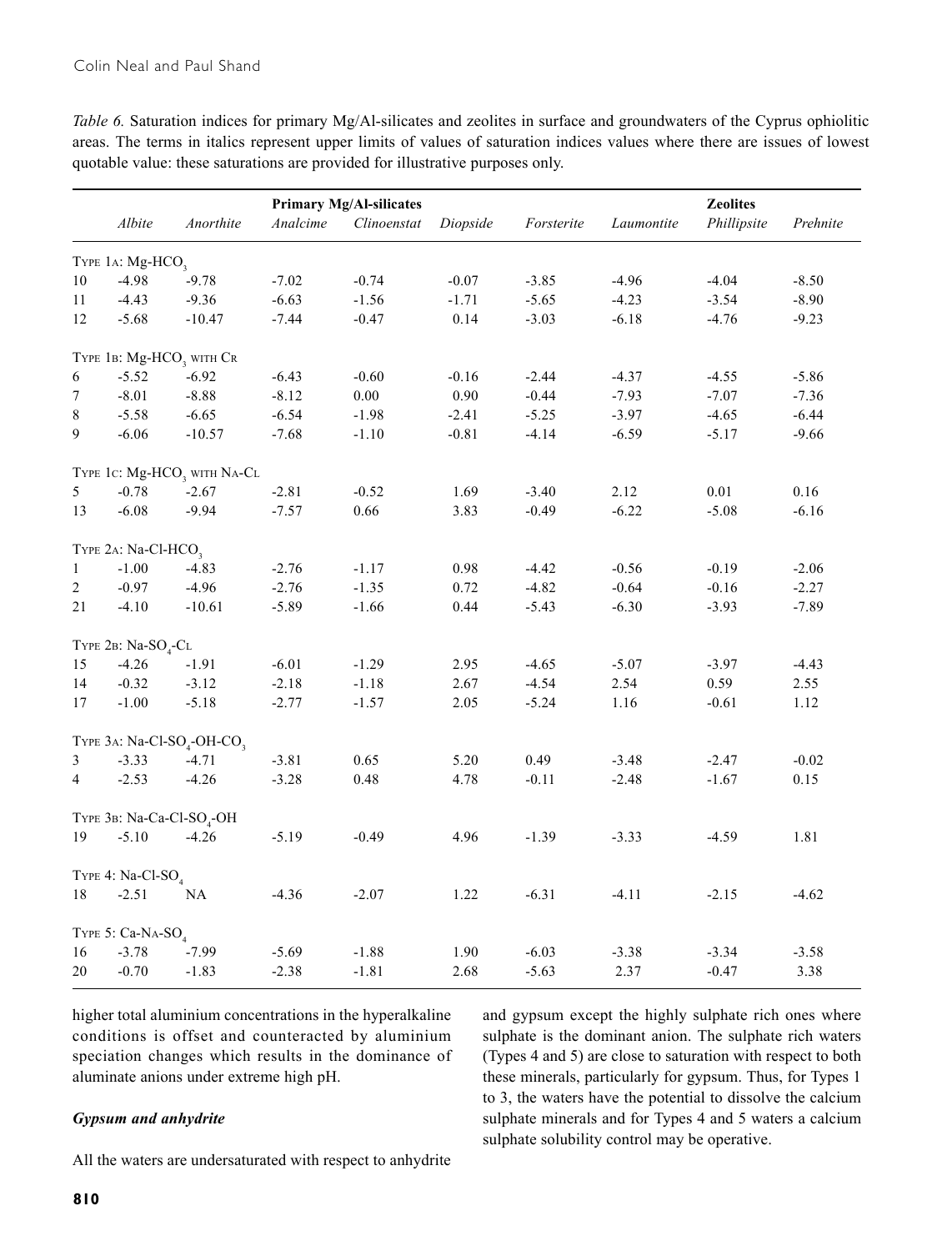*Table 6.* Saturation indices for primary Mg/Al-silicates and zeolites in surface and groundwaters of the Cyprus ophiolitic areas. The terms in italics represent upper limits of values of saturation indices values where there are issues of lowest quotable value: these saturations are provided for illustrative purposes only.

|                  |                                 |                                                    |          | <b>Primary Mg/Al-silicates</b> |          |            |            | <b>Zeolites</b> |          |
|------------------|---------------------------------|----------------------------------------------------|----------|--------------------------------|----------|------------|------------|-----------------|----------|
|                  | Albite                          | Anorthite                                          | Analcime | Clinoenstat                    | Diopside | Forsterite | Laumontite | Phillipsite     | Prehnite |
|                  | TYPE 1A: Mg-HCO <sub>3</sub>    |                                                    |          |                                |          |            |            |                 |          |
| $10\,$           | $-4.98$                         | $-9.78$                                            | $-7.02$  | $-0.74$                        | $-0.07$  | $-3.85$    | $-4.96$    | $-4.04$         | $-8.50$  |
| 11               | $-4.43$                         | $-9.36$                                            | $-6.63$  | $-1.56$                        | $-1.71$  | $-5.65$    | $-4.23$    | $-3.54$         | $-8.90$  |
| 12               | $-5.68$                         | $-10.47$                                           | $-7.44$  | $-0.47$                        | 0.14     | $-3.03$    | $-6.18$    | $-4.76$         | $-9.23$  |
|                  |                                 | TYPE 1B: Mg-HCO <sub>3</sub> WITH CR               |          |                                |          |            |            |                 |          |
| 6                | $-5.52$                         | $-6.92$                                            | $-6.43$  | $-0.60$                        | $-0.16$  | $-2.44$    | $-4.37$    | $-4.55$         | $-5.86$  |
| $\boldsymbol{7}$ | $-8.01$                         | $-8.88$                                            | $-8.12$  | $0.00\,$                       | 0.90     | $-0.44$    | $-7.93$    | $-7.07$         | $-7.36$  |
| 8                | $-5.58$                         | $-6.65$                                            | $-6.54$  | $-1.98$                        | $-2.41$  | $-5.25$    | $-3.97$    | $-4.65$         | $-6.44$  |
| $\mathbf{9}$     | $-6.06$                         | $-10.57$                                           | $-7.68$  | $-1.10$                        | $-0.81$  | $-4.14$    | $-6.59$    | $-5.17$         | $-9.66$  |
|                  |                                 | TYPE 1c: Mg-HCO <sub>3</sub> WITH NA-CL            |          |                                |          |            |            |                 |          |
| 5                | $-0.78$                         | $-2.67$                                            | $-2.81$  | $-0.52$                        | 1.69     | $-3.40$    | 2.12       | $0.01\,$        | 0.16     |
| 13               | $-6.08$                         | $-9.94$                                            | $-7.57$  | 0.66                           | 3.83     | $-0.49$    | $-6.22$    | $-5.08$         | $-6.16$  |
|                  | TYPE 2A: Na-Cl-HCO <sub>3</sub> |                                                    |          |                                |          |            |            |                 |          |
| $\mathbf{1}$     | $-1.00$                         | $-4.83$                                            | $-2.76$  | $-1.17$                        | 0.98     | $-4.42$    | $-0.56$    | $-0.19$         | $-2.06$  |
| 2                | $-0.97$                         | $-4.96$                                            | $-2.76$  | $-1.35$                        | 0.72     | $-4.82$    | $-0.64$    | $-0.16$         | $-2.27$  |
| 21               | $-4.10$                         | $-10.61$                                           | $-5.89$  | $-1.66$                        | 0.44     | $-5.43$    | $-6.30$    | $-3.93$         | $-7.89$  |
|                  | TYPE 2B: Na-SO <sub>4</sub> -CL |                                                    |          |                                |          |            |            |                 |          |
| 15               | $-4.26$                         | $-1.91$                                            | $-6.01$  | $-1.29$                        | 2.95     | $-4.65$    | $-5.07$    | $-3.97$         | $-4.43$  |
| 14               | $-0.32$                         | $-3.12$                                            | $-2.18$  | $-1.18$                        | 2.67     | $-4.54$    | 2.54       | 0.59            | 2.55     |
| 17               | $-1.00$                         | $-5.18$                                            | $-2.77$  | $-1.57$                        | 2.05     | $-5.24$    | 1.16       | $-0.61$         | 1.12     |
|                  |                                 | TYPE 3A: Na-Cl-SO <sub>4</sub> -OH-CO <sub>3</sub> |          |                                |          |            |            |                 |          |
| 3                | $-3.33$                         | $-4.71$                                            | $-3.81$  | 0.65                           | 5.20     | 0.49       | $-3.48$    | $-2.47$         | $-0.02$  |
| $\overline{4}$   | $-2.53$                         | $-4.26$                                            | $-3.28$  | 0.48                           | 4.78     | $-0.11$    | $-2.48$    | $-1.67$         | 0.15     |
|                  |                                 | TYPE 3B: Na-Ca-Cl-SO <sub>4</sub> -OH              |          |                                |          |            |            |                 |          |
| 19               | $-5.10$                         | $-4.26$                                            | $-5.19$  | $-0.49$                        | 4.96     | $-1.39$    | $-3.33$    | $-4.59$         | 1.81     |
|                  | TYPE 4: Na-Cl-SO <sub>4</sub>   |                                                    |          |                                |          |            |            |                 |          |
| 18               | $-2.51$                         | $\rm NA$                                           | $-4.36$  | $-2.07$                        | 1.22     | $-6.31$    | $-4.11$    | $-2.15$         | $-4.62$  |
|                  | TYPE 5: $Ca-NA-SO4$             |                                                    |          |                                |          |            |            |                 |          |
| 16               | $-3.78$                         | $-7.99$                                            | $-5.69$  | $-1.88$                        | 1.90     | $-6.03$    | $-3.38$    | $-3.34$         | $-3.58$  |
| 20               | $-0.70$                         | $-1.83$                                            | $-2.38$  | $-1.81$                        | 2.68     | $-5.63$    | 2.37       | $-0.47$         | 3.38     |

higher total aluminium concentrations in the hyperalkaline conditions is offset and counteracted by aluminium speciation changes which results in the dominance of aluminate anions under extreme high pH.

## *Gypsum and anhydrite*

All the waters are undersaturated with respect to anhydrite

and gypsum except the highly sulphate rich ones where sulphate is the dominant anion. The sulphate rich waters (Types 4 and 5) are close to saturation with respect to both these minerals, particularly for gypsum. Thus, for Types 1 to 3, the waters have the potential to dissolve the calcium sulphate minerals and for Types 4 and 5 waters a calcium sulphate solubility control may be operative.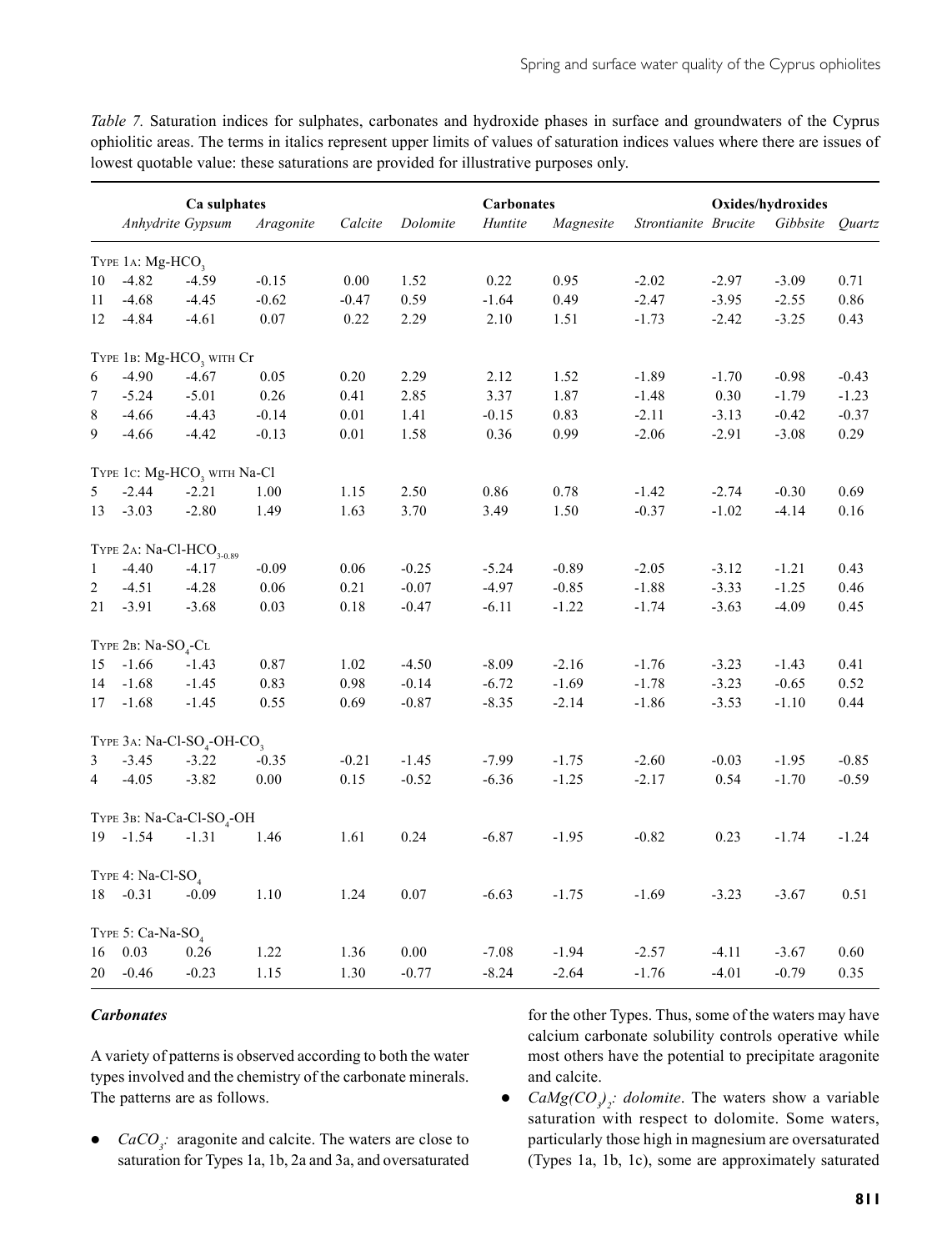*Table 7.* Saturation indices for sulphates, carbonates and hydroxide phases in surface and groundwaters of the Cyprus ophiolitic areas. The terms in italics represent upper limits of values of saturation indices values where there are issues of lowest quotable value: these saturations are provided for illustrative purposes only.

|                  |                                                    | Ca sulphates |           |         |          | <b>Carbonates</b> |           |                      |          | Oxides/hydroxides |         |
|------------------|----------------------------------------------------|--------------|-----------|---------|----------|-------------------|-----------|----------------------|----------|-------------------|---------|
|                  | Anhydrite Gypsum                                   |              | Aragonite | Calcite | Dolomite | Huntite           | Magnesite | Strontianite Brucite |          | Gibbsite          | Quartz  |
|                  | TYPE 1A: Mg-HCO <sub>3</sub>                       |              |           |         |          |                   |           |                      |          |                   |         |
| 10               | $-4.82$                                            | $-4.59$      | $-0.15$   | 0.00    | 1.52     | 0.22              | 0.95      | $-2.02$              | $-2.97$  | $-3.09$           | 0.71    |
| 11               | $-4.68$                                            | $-4.45$      | $-0.62$   | $-0.47$ | 0.59     | $-1.64$           | 0.49      | $-2.47$              | $-3.95$  | $-2.55$           | 0.86    |
| 12               | $-4.84$                                            | $-4.61$      | $0.07\,$  | 0.22    | 2.29     | 2.10              | 1.51      | $-1.73$              | $-2.42$  | $-3.25$           | 0.43    |
|                  | TYPE 1B: Mg-HCO <sub>3</sub> WITH Cr               |              |           |         |          |                   |           |                      |          |                   |         |
| 6                | $-4.90$                                            | $-4.67$      | 0.05      | 0.20    | 2.29     | 2.12              | 1.52      | $-1.89$              | $-1.70$  | $-0.98$           | $-0.43$ |
| $\boldsymbol{7}$ | $-5.24$                                            | $-5.01$      | $0.26\,$  | 0.41    | 2.85     | 3.37              | 1.87      | $-1.48$              | $0.30\,$ | $-1.79$           | $-1.23$ |
| 8                | $-4.66$                                            | $-4.43$      | $-0.14$   | 0.01    | 1.41     | $-0.15$           | 0.83      | $-2.11$              | $-3.13$  | $-0.42$           | $-0.37$ |
| 9                | $-4.66$                                            | $-4.42$      | $-0.13$   | 0.01    | 1.58     | 0.36              | 0.99      | $-2.06$              | $-2.91$  | $-3.08$           | 0.29    |
|                  | TYPE 1c: Mg-HCO <sub>3</sub> WITH Na-Cl            |              |           |         |          |                   |           |                      |          |                   |         |
| 5                | $-2.44$                                            | $-2.21$      | 1.00      | 1.15    | 2.50     | 0.86              | 0.78      | $-1.42$              | $-2.74$  | $-0.30$           | 0.69    |
| 13               | $-3.03$                                            | $-2.80$      | 1.49      | 1.63    | 3.70     | 3.49              | 1.50      | $-0.37$              | $-1.02$  | $-4.14$           | 0.16    |
|                  | TYPE 2A: Na-Cl-HCO <sub>3-0.89</sub>               |              |           |         |          |                   |           |                      |          |                   |         |
| $\mathbf{1}$     | $-4.40$                                            | $-4.17$      | $-0.09$   | 0.06    | $-0.25$  | $-5.24$           | $-0.89$   | $-2.05$              | $-3.12$  | $-1.21$           | 0.43    |
| 2                | $-4.51$                                            | $-4.28$      | 0.06      | 0.21    | $-0.07$  | $-4.97$           | $-0.85$   | $-1.88$              | $-3.33$  | $-1.25$           | 0.46    |
| 21               | $-3.91$                                            | $-3.68$      | 0.03      | 0.18    | $-0.47$  | $-6.11$           | $-1.22$   | $-1.74$              | $-3.63$  | $-4.09$           | 0.45    |
|                  | TYPE $2B$ : Na-SO <sub><math>4</math></sub> -CL    |              |           |         |          |                   |           |                      |          |                   |         |
| 15               | $-1.66$                                            | $-1.43$      | 0.87      | 1.02    | $-4.50$  | $-8.09$           | $-2.16$   | $-1.76$              | $-3.23$  | $-1.43$           | 0.41    |
| 14               | $-1.68$                                            | $-1.45$      | 0.83      | 0.98    | $-0.14$  | $-6.72$           | $-1.69$   | $-1.78$              | $-3.23$  | $-0.65$           | 0.52    |
| 17               | $-1.68$                                            | $-1.45$      | 0.55      | 0.69    | $-0.87$  | $-8.35$           | $-2.14$   | $-1.86$              | $-3.53$  | $-1.10$           | 0.44    |
|                  | TYPE 3A: Na-Cl-SO <sub>4</sub> -OH-CO <sub>3</sub> |              |           |         |          |                   |           |                      |          |                   |         |
| 3                | $-3.45$                                            | $-3.22$      | $-0.35$   | $-0.21$ | $-1.45$  | $-7.99$           | $-1.75$   | $-2.60$              | $-0.03$  | $-1.95$           | $-0.85$ |
| $\overline{4}$   | $-4.05$                                            | $-3.82$      | $0.00\,$  | 0.15    | $-0.52$  | $-6.36$           | $-1.25$   | $-2.17$              | 0.54     | $-1.70$           | $-0.59$ |
|                  | Түре Зв: Na-Ca-Cl-SO <sub>4</sub> -OH              |              |           |         |          |                   |           |                      |          |                   |         |
|                  | $19 - 1.54$                                        | $-1.31$      | 1.46      | 1.61    | 0.24     | $-6.87$           | $-1.95$   | $-0.82$              | 0.23     | $-1.74$           | $-1.24$ |
|                  | TYPE 4: $Na-Cl-SO4$                                |              |           |         |          |                   |           |                      |          |                   |         |
| 18               | $-0.31$                                            | $-0.09$      | 1.10      | 1.24    | 0.07     | $-6.63$           | $-1.75$   | $-1.69$              | $-3.23$  | $-3.67$           | 0.51    |
|                  | TYPE 5: $Ca-Na-SO4$                                |              |           |         |          |                   |           |                      |          |                   |         |
| 16               | 0.03                                               | 0.26         | 1.22      | 1.36    | 0.00     | $-7.08$           | $-1.94$   | $-2.57$              | $-4.11$  | $-3.67$           | 0.60    |
| 20               | $-0.46$                                            | $-0.23$      | 1.15      | 1.30    | $-0.77$  | $-8.24$           | $-2.64$   | $-1.76$              | $-4.01$  | $-0.79$           | 0.35    |

### *Carbonates*

A variety of patterns is observed according to both the water types involved and the chemistry of the carbonate minerals. The patterns are as follows.

•  $CaCO<sub>3</sub>$ : aragonite and calcite. The waters are close to saturation for Types 1a, 1b, 2a and 3a, and oversaturated for the other Types. Thus, some of the waters may have calcium carbonate solubility controls operative while most others have the potential to precipitate aragonite and calcite.

• *CaMg(CO<sub>3</sub>)*<sub>2</sub>: *dolomite*. The waters show a variable saturation with respect to dolomite. Some waters, particularly those high in magnesium are oversaturated (Types 1a, 1b, 1c), some are approximately saturated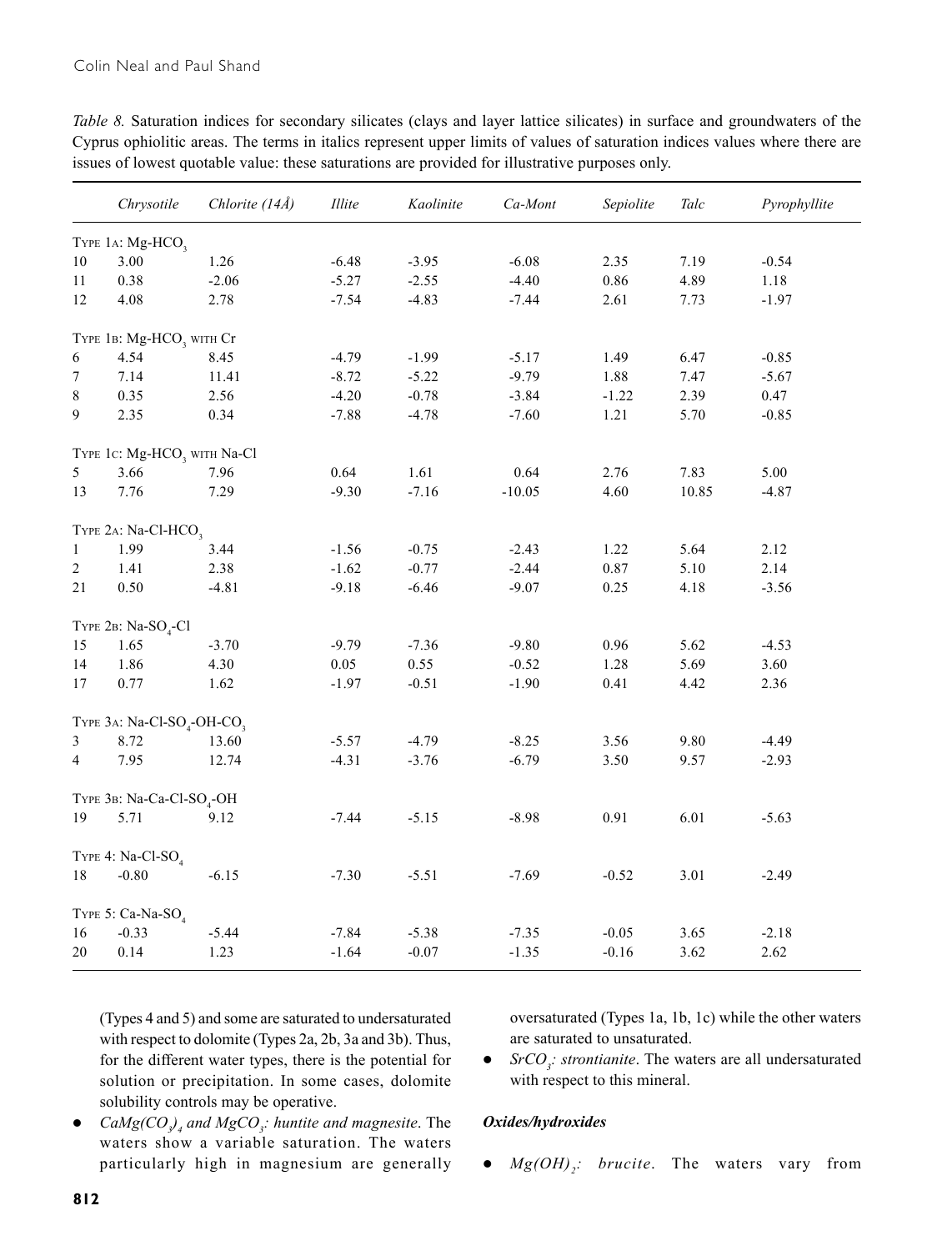|                | Chrysotile                                         | Chlorite (14Å) | $I$ llite | Kaolinite | Ca-Mont  | Sepiolite | Talc  | Pyrophyllite |
|----------------|----------------------------------------------------|----------------|-----------|-----------|----------|-----------|-------|--------------|
|                | TYPE 1A: Mg-HCO <sub>3</sub>                       |                |           |           |          |           |       |              |
| $10\,$         | 3.00                                               | 1.26           | $-6.48$   | $-3.95$   | $-6.08$  | 2.35      | 7.19  | $-0.54$      |
| 11             | 0.38                                               | $-2.06$        | $-5.27$   | $-2.55$   | $-4.40$  | $0.86\,$  | 4.89  | 1.18         |
| 12             | 4.08                                               | 2.78           | $-7.54$   | $-4.83$   | $-7.44$  | 2.61      | 7.73  | $-1.97$      |
|                | TYPE 1B: Mg-HCO <sub>3</sub> WITH Cr               |                |           |           |          |           |       |              |
| 6              | 4.54                                               | 8.45           | $-4.79$   | $-1.99$   | $-5.17$  | 1.49      | 6.47  | $-0.85$      |
| 7              | 7.14                                               | 11.41          | $-8.72$   | $-5.22$   | $-9.79$  | 1.88      | 7.47  | $-5.67$      |
| 8              | 0.35                                               | 2.56           | $-4.20$   | $-0.78$   | $-3.84$  | $-1.22$   | 2.39  | 0.47         |
| 9              | 2.35                                               | 0.34           | $-7.88$   | $-4.78$   | $-7.60$  | 1.21      | 5.70  | $-0.85$      |
|                | TYPE 1c: Mg-HCO <sub>3</sub> WITH Na-Cl            |                |           |           |          |           |       |              |
| 5              | 3.66                                               | 7.96           | 0.64      | 1.61      | 0.64     | 2.76      | 7.83  | 5.00         |
| 13             | 7.76                                               | 7.29           | $-9.30$   | $-7.16$   | $-10.05$ | 4.60      | 10.85 | $-4.87$      |
|                | TYPE 2A: Na-Cl-HCO <sub>3</sub>                    |                |           |           |          |           |       |              |
| $\mathbf{1}$   | 1.99                                               | 3.44           | $-1.56$   | $-0.75$   | $-2.43$  | 1.22      | 5.64  | 2.12         |
| $\overline{c}$ | 1.41                                               | 2.38           | $-1.62$   | $-0.77$   | $-2.44$  | 0.87      | 5.10  | 2.14         |
| 21             | 0.50                                               | $-4.81$        | $-9.18$   | $-6.46$   | $-9.07$  | 0.25      | 4.18  | $-3.56$      |
|                | TYPE 2B: Na-SO <sub>4</sub> -Cl                    |                |           |           |          |           |       |              |
| 15             | 1.65                                               | $-3.70$        | $-9.79$   | $-7.36$   | $-9.80$  | 0.96      | 5.62  | $-4.53$      |
| 14             | 1.86                                               | 4.30           | $0.05\,$  | 0.55      | $-0.52$  | 1.28      | 5.69  | 3.60         |
| 17             | 0.77                                               | 1.62           | $-1.97$   | $-0.51$   | $-1.90$  | 0.41      | 4.42  | 2.36         |
|                | TYPE 3A: Na-Cl-SO <sub>4</sub> -OH-CO <sub>3</sub> |                |           |           |          |           |       |              |
| 3              | 8.72                                               | 13.60          | $-5.57$   | $-4.79$   | $-8.25$  | 3.56      | 9.80  | $-4.49$      |
| $\overline{4}$ | 7.95                                               | 12.74          | $-4.31$   | $-3.76$   | $-6.79$  | 3.50      | 9.57  | $-2.93$      |
|                | Түре Зв: Na-Ca-Cl-SO <sub>4</sub> -OH              |                |           |           |          |           |       |              |
| 19             | 5.71                                               | 9.12           | $-7.44$   | $-5.15$   | $-8.98$  | 0.91      | 6.01  | $-5.63$      |
|                | TYPE 4: Na-Cl-SO <sub>4</sub>                      |                |           |           |          |           |       |              |
| 18             | $-0.80$                                            | $-6.15$        | $-7.30$   | $-5.51$   | $-7.69$  | $-0.52$   | 3.01  | $-2.49$      |
|                | TYPE 5: $Ca-Na-SO4$                                |                |           |           |          |           |       |              |
| 16             | $-0.33$                                            | $-5.44$        | $-7.84$   | $-5.38$   | $-7.35$  | $-0.05$   | 3.65  | $-2.18$      |
| 20             | 0.14                                               | 1.23           | $-1.64$   | $-0.07$   | $-1.35$  | $-0.16$   | 3.62  | 2.62         |

*Table 8.* Saturation indices for secondary silicates (clays and layer lattice silicates) in surface and groundwaters of the Cyprus ophiolitic areas. The terms in italics represent upper limits of values of saturation indices values where there are issues of lowest quotable value: these saturations are provided for illustrative purposes only.

(Types 4 and 5) and some are saturated to undersaturated with respect to dolomite (Types 2a, 2b, 3a and 3b). Thus, for the different water types, there is the potential for solution or precipitation. In some cases, dolomite solubility controls may be operative.

oversaturated (Types 1a, 1b, 1c) while the other waters are saturated to unsaturated.

- *SrCO<sub>3</sub>: strontianite*. The waters are all undersaturated with respect to this mineral.
- $CaMg(CO<sub>3</sub>)$ <sub>4</sub> and MgCO<sub>3</sub>: huntite and magnesite. The waters show a variable saturation. The waters particularly high in magnesium are generally

## *Oxides/hydroxides*

•  $Mg(OH)$ <sub>2</sub>: *brucite*. The waters vary from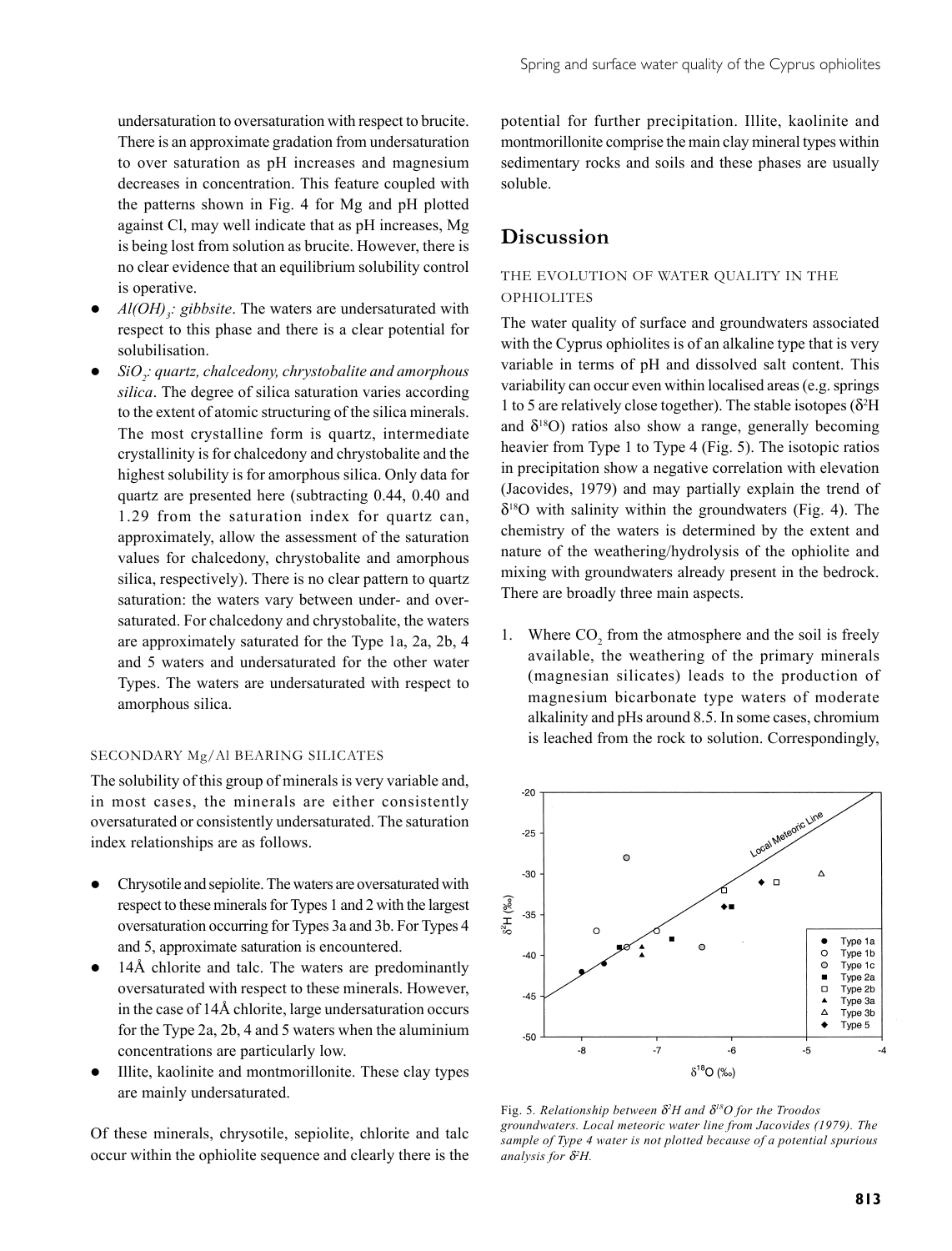undersaturation to oversaturation with respect to brucite. There is an approximate gradation from undersaturation to over saturation as pH increases and magnesium decreases in concentration. This feature coupled with the patterns shown in Fig. 4 for Mg and pH plotted against Cl, may well indicate that as pH increases, Mg is being lost from solution as brucite. However, there is no clear evidence that an equilibrium solubility control is operative.

- $\bullet$  *Al(OH)<sub>3</sub>*: *gibbsite*. The waters are undersaturated with respect to this phase and there is a clear potential for solubilisation.
- **•** SiO<sub>2</sub>: quartz, chalcedony, chrystobalite and amorphous *silica*. The degree of silica saturation varies according to the extent of atomic structuring of the silica minerals. The most crystalline form is quartz, intermediate crystallinity is for chalcedony and chrystobalite and the highest solubility is for amorphous silica. Only data for quartz are presented here (subtracting 0.44, 0.40 and 1.29 from the saturation index for quartz can, approximately, allow the assessment of the saturation values for chalcedony, chrystobalite and amorphous silica, respectively). There is no clear pattern to quartz saturation: the waters vary between under- and oversaturated. For chalcedony and chrystobalite, the waters are approximately saturated for the Type 1a, 2a, 2b, 4 and 5 waters and undersaturated for the other water Types. The waters are undersaturated with respect to amorphous silica.

#### SECONDARY Mg/Al BEARING SILICATES

The solubility of this group of minerals is very variable and, in most cases, the minerals are either consistently oversaturated or consistently undersaturated. The saturation index relationships are as follows.

- Chrysotile and sepiolite. The waters are oversaturated with respect to these minerals for Types 1 and 2 with the largest oversaturation occurring for Types 3a and 3b. For Types 4 and 5, approximate saturation is encountered.
- 14Å chlorite and talc. The waters are predominantly oversaturated with respect to these minerals. However, in the case of 14Å chlorite, large undersaturation occurs for the Type 2a, 2b, 4 and 5 waters when the aluminium concentrations are particularly low.
- Illite, kaolinite and montmorillonite. These clay types are mainly undersaturated.

Of these minerals, chrysotile, sepiolite, chlorite and talc occur within the ophiolite sequence and clearly there is the

potential for further precipitation. Illite, kaolinite and montmorillonite comprise the main clay mineral types within sedimentary rocks and soils and these phases are usually soluble.

## **Discussion**

## THE EVOLUTION OF WATER QUALITY IN THE OPHIOLITES

The water quality of surface and groundwaters associated with the Cyprus ophiolites is of an alkaline type that is very variable in terms of pH and dissolved salt content. This variability can occur even within localised areas (e.g. springs 1 to 5 are relatively close together). The stable isotopes (δ<sup>2</sup>H and  $\delta^{18}$ O) ratios also show a range, generally becoming heavier from Type 1 to Type 4 (Fig. 5). The isotopic ratios in precipitation show a negative correlation with elevation (Jacovides, 1979) and may partially explain the trend of  $\delta^{18}$ O with salinity within the groundwaters (Fig. 4). The chemistry of the waters is determined by the extent and nature of the weathering/hydrolysis of the ophiolite and mixing with groundwaters already present in the bedrock. There are broadly three main aspects.

1. Where  $CO_2$  from the atmosphere and the soil is freely available, the weathering of the primary minerals (magnesian silicates) leads to the production of magnesium bicarbonate type waters of moderate alkalinity and pHs around 8.5. In some cases, chromium is leached from the rock to solution. Correspondingly,



Fig. 5*. Relationship between* δ*<sup>2</sup> H and* δ*18O for the Troodos groundwaters. Local meteoric water line from Jacovides (1979). The sample of Type 4 water is not plotted because of a potential spurious analysis for* δ*<sup>2</sup> H.*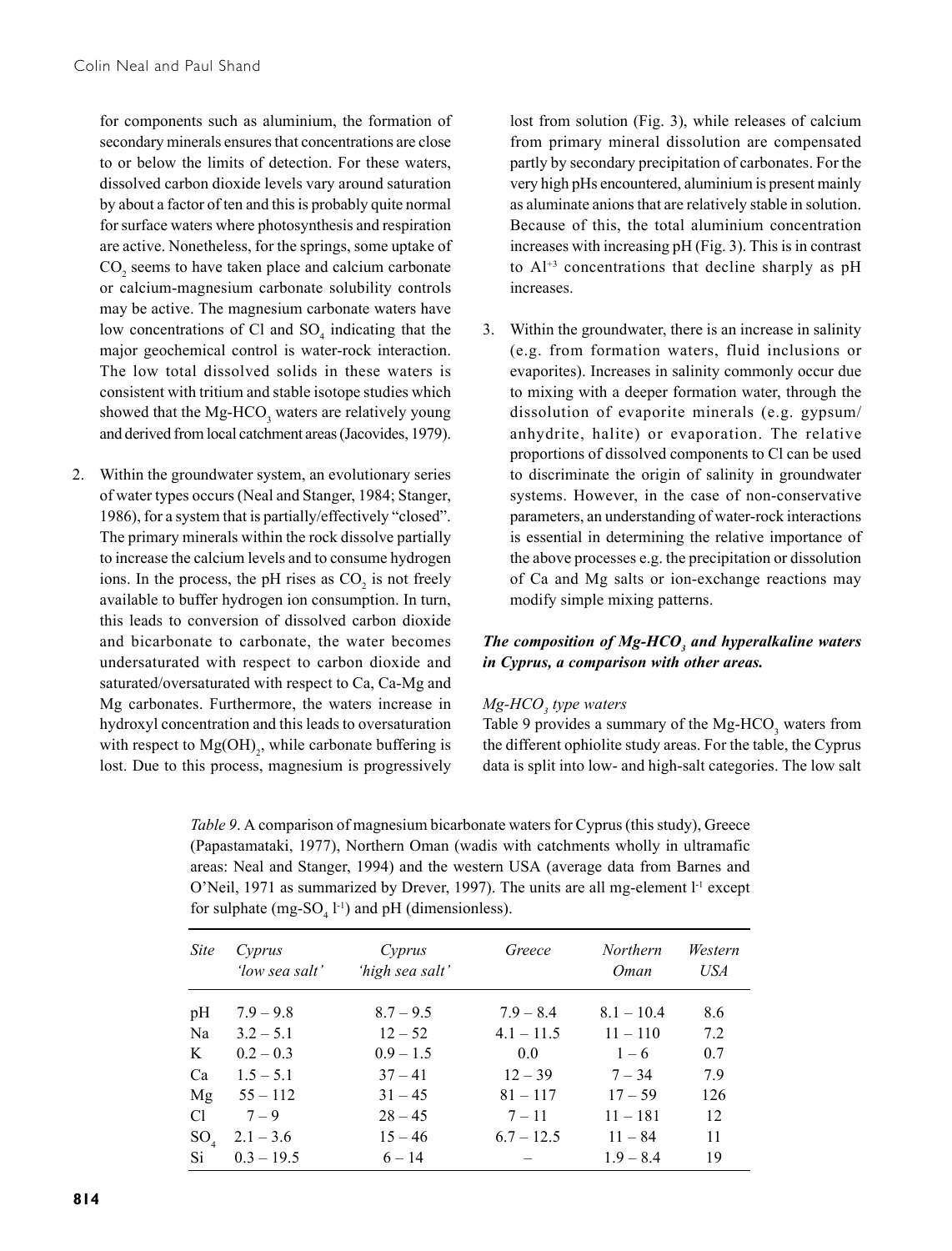for components such as aluminium, the formation of secondary minerals ensures that concentrations are close to or below the limits of detection. For these waters, dissolved carbon dioxide levels vary around saturation by about a factor of ten and this is probably quite normal for surface waters where photosynthesis and respiration are active. Nonetheless, for the springs, some uptake of  $CO<sub>2</sub>$  seems to have taken place and calcium carbonate or calcium-magnesium carbonate solubility controls may be active. The magnesium carbonate waters have low concentrations of Cl and  $SO_4$  indicating that the major geochemical control is water-rock interaction. The low total dissolved solids in these waters is consistent with tritium and stable isotope studies which showed that the  $Mg$ -HCO<sub>3</sub> waters are relatively young and derived from local catchment areas (Jacovides, 1979).

2. Within the groundwater system, an evolutionary series of water types occurs (Neal and Stanger, 1984; Stanger, 1986), for a system that is partially/effectively "closed". The primary minerals within the rock dissolve partially to increase the calcium levels and to consume hydrogen ions. In the process, the pH rises as  $CO<sub>2</sub>$  is not freely available to buffer hydrogen ion consumption. In turn, this leads to conversion of dissolved carbon dioxide and bicarbonate to carbonate, the water becomes undersaturated with respect to carbon dioxide and saturated/oversaturated with respect to Ca, Ca-Mg and Mg carbonates. Furthermore, the waters increase in hydroxyl concentration and this leads to oversaturation with respect to  $Mg(OH)_{2}$ , while carbonate buffering is lost. Due to this process, magnesium is progressively

lost from solution (Fig. 3), while releases of calcium from primary mineral dissolution are compensated partly by secondary precipitation of carbonates. For the very high pHs encountered, aluminium is present mainly as aluminate anions that are relatively stable in solution. Because of this, the total aluminium concentration increases with increasing pH (Fig. 3). This is in contrast to  $Al^{+3}$  concentrations that decline sharply as pH increases.

3. Within the groundwater, there is an increase in salinity (e.g. from formation waters, fluid inclusions or evaporites). Increases in salinity commonly occur due to mixing with a deeper formation water, through the dissolution of evaporite minerals (e.g. gypsum/ anhydrite, halite) or evaporation. The relative proportions of dissolved components to Cl can be used to discriminate the origin of salinity in groundwater systems. However, in the case of non-conservative parameters, an understanding of water-rock interactions is essential in determining the relative importance of the above processes e.g. the precipitation or dissolution of Ca and Mg salts or ion-exchange reactions may modify simple mixing patterns.

## *The composition of Mg-HCO<sub>3</sub> and hyperalkaline waters in Cyprus, a comparison with other areas.*

## $M$ g-HCO<sub>3</sub> type waters

Table 9 provides a summary of the  $Mg-HCO<sub>3</sub>$  waters from the different ophiolite study areas. For the table, the Cyprus data is split into low- and high-salt categories. The low salt

*Table 9.* A comparison of magnesium bicarbonate waters for Cyprus (this study), Greece (Papastamataki, 1977), Northern Oman (wadis with catchments wholly in ultramafic areas: Neal and Stanger, 1994) and the western USA (average data from Barnes and O'Neil, 1971 as summarized by Drever, 1997). The units are all mg-element  $l<sup>-1</sup>$  except for sulphate  $(mg-SO<sub>4</sub> l<sup>-1</sup>)$  and pH (dimensionless).

| <i>Site</i> | Cyprus<br>'low sea salt' | Cyprus<br>'high sea salt' | Greece       | <b>Northern</b><br>Oman | Western<br>USA |
|-------------|--------------------------|---------------------------|--------------|-------------------------|----------------|
| pH          | $7.9 - 9.8$              | $8.7 - 9.5$               | $7.9 - 8.4$  | $8.1 - 10.4$            | 8.6            |
| Na          | $3.2 - 5.1$              | $12 - 52$                 | $4.1 - 11.5$ | $11 - 110$              | 7.2            |
| K           | $0.2 - 0.3$              | $0.9 - 1.5$               | 0.0          | $1 - 6$                 | 0.7            |
| Ca          | $1.5 - 5.1$              | $37 - 41$                 | $12 - 39$    | $7 - 34$                | 7.9            |
| Mg          | $55 - 112$               | $31 - 45$                 | $81 - 117$   | $17 - 59$               | 126            |
| Cl          | $7 - 9$                  | $28 - 45$                 | $7 - 11$     | $11 - 181$              | 12             |
| $SO_{4}$    | $2.1 - 3.6$              | $15 - 46$                 | $6.7 - 12.5$ | $11 - 84$               | 11             |
| Si          | $0.3 - 19.5$             | $6 - 14$                  |              | $1.9 - 8.4$             | 19             |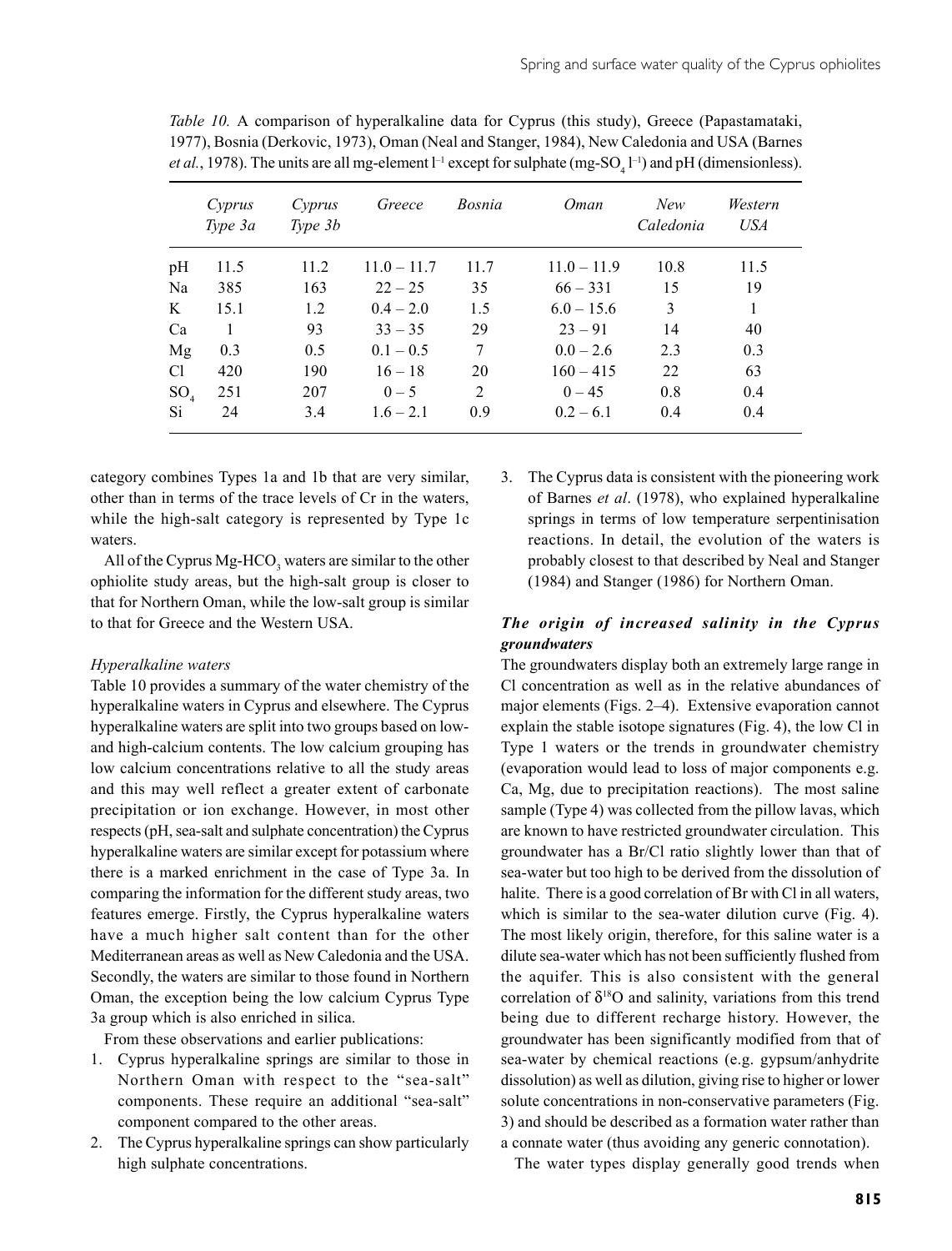|                 | Cyprus<br>Type 3a | Cyprus<br>Type 3b | Greece        | Bosnia         | Oman          | New<br>Caledonia | Western<br>USA |
|-----------------|-------------------|-------------------|---------------|----------------|---------------|------------------|----------------|
| pH              | 11.5              | 11.2              | $11.0 - 11.7$ | 11.7           | $11.0 - 11.9$ | 10.8             | 11.5           |
| Na              | 385               | 163               | $22 - 25$     | 35             | $66 - 331$    | 15               | 19             |
| K               | 15.1              | 1.2               | $0.4 - 2.0$   | 1.5            | $6.0 - 15.6$  | 3                |                |
| Ca              |                   | 93                | $33 - 35$     | 29             | $23 - 91$     | 14               | 40             |
| Mg              | 0.3               | 0.5               | $0.1 - 0.5$   | 7              | $0.0 - 2.6$   | 2.3              | 0.3            |
| C <sub>1</sub>  | 420               | 190               | $16 - 18$     | 20             | $160 - 415$   | 22               | 63             |
| SO <sub>4</sub> | 251               | 207               | $0 - 5$       | $\mathfrak{D}$ | $0 - 45$      | 0.8              | 0.4            |
| <b>Si</b>       | 24                | 3.4               | $1.6 - 2.1$   | 0.9            | $0.2 - 6.1$   | 0.4              | 0.4            |

*Table 10.* A comparison of hyperalkaline data for Cyprus (this study), Greece (Papastamataki, 1977), Bosnia (Derkovic, 1973), Oman (Neal and Stanger, 1984), New Caledonia and USA (Barnes *et al.*, 1978). The units are all mg-element  $l^{-1}$  except for sulphate (mg-SO<sub>4</sub> $l^{-1}$ ) and pH (dimensionless).

category combines Types 1a and 1b that are very similar, other than in terms of the trace levels of Cr in the waters, while the high-salt category is represented by Type 1c waters.

All of the Cyprus  $Mg-HCO_3$  waters are similar to the other ophiolite study areas, but the high-salt group is closer to that for Northern Oman, while the low-salt group is similar to that for Greece and the Western USA.

## *Hyperalkaline waters*

Table 10 provides a summary of the water chemistry of the hyperalkaline waters in Cyprus and elsewhere. The Cyprus hyperalkaline waters are split into two groups based on lowand high-calcium contents. The low calcium grouping has low calcium concentrations relative to all the study areas and this may well reflect a greater extent of carbonate precipitation or ion exchange. However, in most other respects (pH, sea-salt and sulphate concentration) the Cyprus hyperalkaline waters are similar except for potassium where there is a marked enrichment in the case of Type 3a. In comparing the information for the different study areas, two features emerge. Firstly, the Cyprus hyperalkaline waters have a much higher salt content than for the other Mediterranean areas as well as New Caledonia and the USA. Secondly, the waters are similar to those found in Northern Oman, the exception being the low calcium Cyprus Type 3a group which is also enriched in silica.

From these observations and earlier publications:

- 1. Cyprus hyperalkaline springs are similar to those in Northern Oman with respect to the "sea-salt" components. These require an additional "sea-salt" component compared to the other areas.
- 2. The Cyprus hyperalkaline springs can show particularly high sulphate concentrations.

3. The Cyprus data is consistent with the pioneering work of Barnes *et al*. (1978), who explained hyperalkaline springs in terms of low temperature serpentinisation reactions. In detail, the evolution of the waters is probably closest to that described by Neal and Stanger (1984) and Stanger (1986) for Northern Oman.

## *The origin of increased salinity in the Cyprus groundwaters*

The groundwaters display both an extremely large range in Cl concentration as well as in the relative abundances of major elements (Figs. 2–4). Extensive evaporation cannot explain the stable isotope signatures (Fig. 4), the low Cl in Type 1 waters or the trends in groundwater chemistry (evaporation would lead to loss of major components e.g. Ca, Mg, due to precipitation reactions). The most saline sample (Type 4) was collected from the pillow lavas, which are known to have restricted groundwater circulation. This groundwater has a Br/Cl ratio slightly lower than that of sea-water but too high to be derived from the dissolution of halite. There is a good correlation of Br with Cl in all waters, which is similar to the sea-water dilution curve (Fig. 4). The most likely origin, therefore, for this saline water is a dilute sea-water which has not been sufficiently flushed from the aquifer. This is also consistent with the general correlation of  $\delta^{18}$ O and salinity, variations from this trend being due to different recharge history. However, the groundwater has been significantly modified from that of sea-water by chemical reactions (e.g. gypsum/anhydrite dissolution) as well as dilution, giving rise to higher or lower solute concentrations in non-conservative parameters (Fig. 3) and should be described as a formation water rather than a connate water (thus avoiding any generic connotation).

The water types display generally good trends when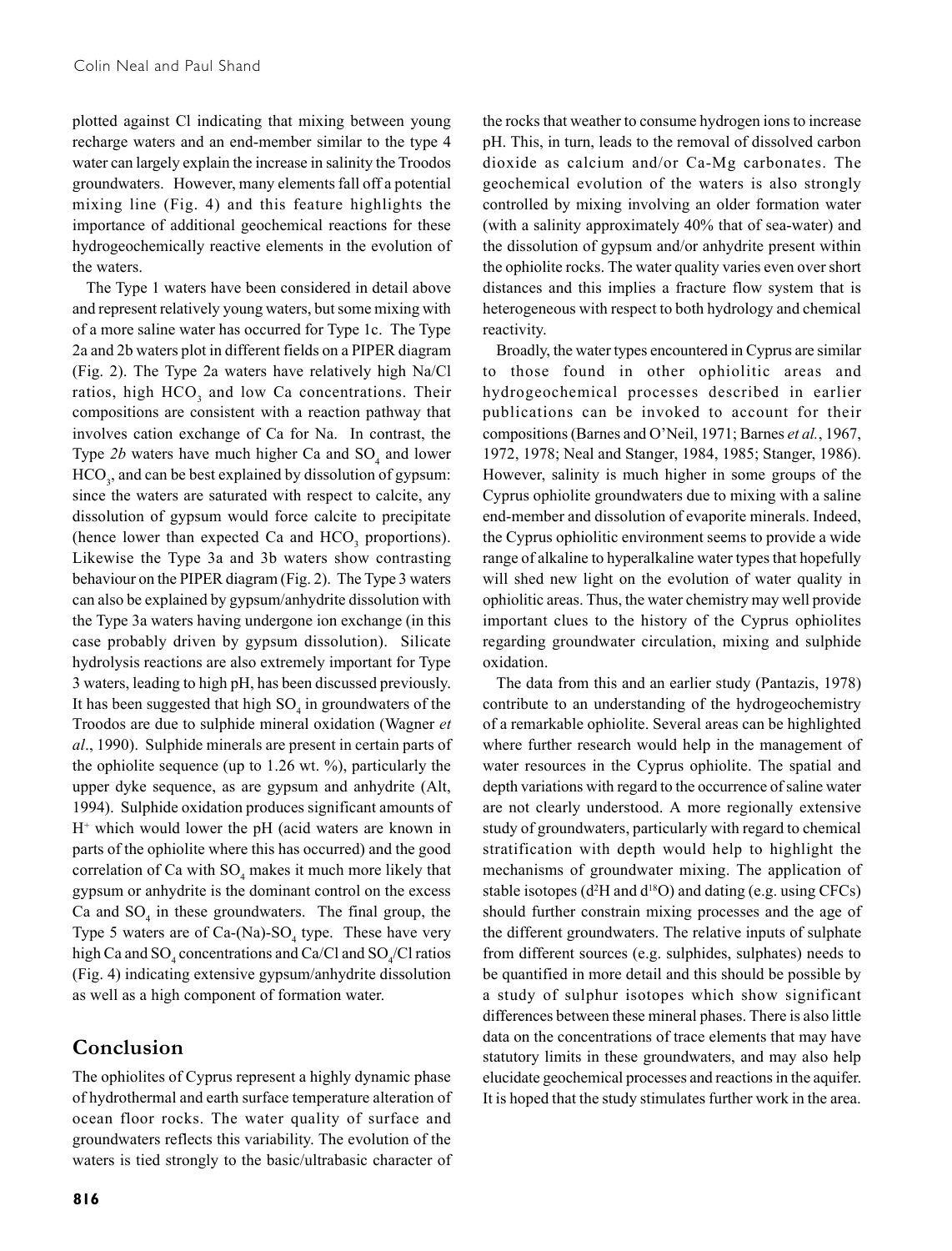plotted against Cl indicating that mixing between young recharge waters and an end-member similar to the type 4 water can largely explain the increase in salinity the Troodos groundwaters. However, many elements fall off a potential mixing line (Fig. 4) and this feature highlights the importance of additional geochemical reactions for these hydrogeochemically reactive elements in the evolution of the waters.

The Type 1 waters have been considered in detail above and represent relatively young waters, but some mixing with of a more saline water has occurred for Type 1c. The Type 2a and 2b waters plot in different fields on a PIPER diagram (Fig. 2). The Type 2a waters have relatively high Na/Cl ratios, high HCO<sub>3</sub> and low Ca concentrations. Their compositions are consistent with a reaction pathway that involves cation exchange of Ca for Na. In contrast, the Type  $2b$  waters have much higher Ca and  $SO<sub>4</sub>$  and lower HCO<sub>3</sub>, and can be best explained by dissolution of gypsum: since the waters are saturated with respect to calcite, any dissolution of gypsum would force calcite to precipitate (hence lower than expected Ca and  $HCO<sub>3</sub>$  proportions). Likewise the Type 3a and 3b waters show contrasting behaviour on the PIPER diagram (Fig. 2). The Type 3 waters can also be explained by gypsum/anhydrite dissolution with the Type 3a waters having undergone ion exchange (in this case probably driven by gypsum dissolution). Silicate hydrolysis reactions are also extremely important for Type 3 waters, leading to high pH, has been discussed previously. It has been suggested that high  $SO_4$  in groundwaters of the Troodos are due to sulphide mineral oxidation (Wagner *et al*., 1990). Sulphide minerals are present in certain parts of the ophiolite sequence (up to 1.26 wt. %), particularly the upper dyke sequence, as are gypsum and anhydrite (Alt, 1994). Sulphide oxidation produces significant amounts of H+ which would lower the pH (acid waters are known in parts of the ophiolite where this has occurred) and the good correlation of Ca with  $SO_4$  makes it much more likely that gypsum or anhydrite is the dominant control on the excess Ca and  $SO_4$  in these groundwaters. The final group, the Type 5 waters are of  $Ca-(Na)\text{-}SO_4$  type. These have very high Ca and  $\text{SO}_4$  concentrations and Ca/Cl and  $\text{SO}_4/\text{Cl}$  ratios (Fig. 4) indicating extensive gypsum/anhydrite dissolution as well as a high component of formation water.

## **Conclusion**

The ophiolites of Cyprus represent a highly dynamic phase of hydrothermal and earth surface temperature alteration of ocean floor rocks. The water quality of surface and groundwaters reflects this variability. The evolution of the waters is tied strongly to the basic/ultrabasic character of the rocks that weather to consume hydrogen ions to increase pH. This, in turn, leads to the removal of dissolved carbon dioxide as calcium and/or Ca-Mg carbonates. The geochemical evolution of the waters is also strongly controlled by mixing involving an older formation water (with a salinity approximately 40% that of sea-water) and the dissolution of gypsum and/or anhydrite present within the ophiolite rocks. The water quality varies even over short distances and this implies a fracture flow system that is heterogeneous with respect to both hydrology and chemical reactivity.

Broadly, the water types encountered in Cyprus are similar to those found in other ophiolitic areas and hydrogeochemical processes described in earlier publications can be invoked to account for their compositions (Barnes and O'Neil, 1971; Barnes *et al.*, 1967, 1972, 1978; Neal and Stanger, 1984, 1985; Stanger, 1986). However, salinity is much higher in some groups of the Cyprus ophiolite groundwaters due to mixing with a saline end-member and dissolution of evaporite minerals. Indeed, the Cyprus ophiolitic environment seems to provide a wide range of alkaline to hyperalkaline water types that hopefully will shed new light on the evolution of water quality in ophiolitic areas. Thus, the water chemistry may well provide important clues to the history of the Cyprus ophiolites regarding groundwater circulation, mixing and sulphide oxidation.

The data from this and an earlier study (Pantazis, 1978) contribute to an understanding of the hydrogeochemistry of a remarkable ophiolite. Several areas can be highlighted where further research would help in the management of water resources in the Cyprus ophiolite. The spatial and depth variations with regard to the occurrence of saline water are not clearly understood. A more regionally extensive study of groundwaters, particularly with regard to chemical stratification with depth would help to highlight the mechanisms of groundwater mixing. The application of stable isotopes ( $d^2H$  and  $d^{18}O$ ) and dating (e.g. using CFCs) should further constrain mixing processes and the age of the different groundwaters. The relative inputs of sulphate from different sources (e.g. sulphides, sulphates) needs to be quantified in more detail and this should be possible by a study of sulphur isotopes which show significant differences between these mineral phases. There is also little data on the concentrations of trace elements that may have statutory limits in these groundwaters, and may also help elucidate geochemical processes and reactions in the aquifer. It is hoped that the study stimulates further work in the area.